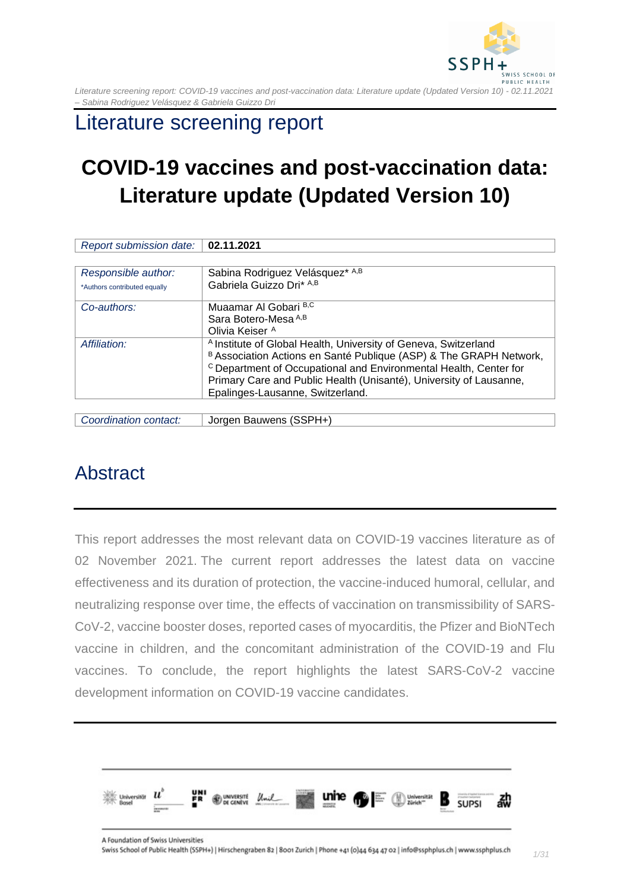

## Literature screening report

# **COVID-19 vaccines and post-vaccination data: Literature update (Updated Version 10)**

| Report submission date:      | 02.11.2021                                                                   |
|------------------------------|------------------------------------------------------------------------------|
|                              |                                                                              |
| Responsible author:          | Sabina Rodriguez Velásquez* A,B                                              |
| *Authors contributed equally | Gabriela Guizzo Dri* A,B                                                     |
| Co-authors:                  | Muaamar Al Gobari B,C                                                        |
|                              | Sara Botero-Mesa A,B                                                         |
|                              | Olivia Keiser <sup>A</sup>                                                   |
| Affiliation:                 | <sup>A</sup> Institute of Global Health, University of Geneva, Switzerland   |
|                              | B Association Actions en Santé Publique (ASP) & The GRAPH Network,           |
|                              | <sup>c</sup> Department of Occupational and Environmental Health, Center for |
|                              | Primary Care and Public Health (Unisanté), University of Lausanne,           |
|                              | Epalinges-Lausanne, Switzerland.                                             |
|                              |                                                                              |

*Coordination contact:* Jorgen Bauwens (SSPH+)

## <span id="page-0-0"></span>Abstract

This report addresses the most relevant data on COVID-19 vaccines literature as of 02 November 2021. The current report addresses the latest data on vaccine effectiveness and its duration of protection, the vaccine-induced humoral, cellular, and neutralizing response over time, the effects of vaccination on transmissibility of SARS-CoV-2, vaccine booster doses, reported cases of myocarditis, the Pfizer and BioNTech vaccine in children, and the concomitant administration of the COVID-19 and Flu vaccines. To conclude, the report highlights the latest SARS-CoV-2 vaccine development information on COVID-19 vaccine candidates.

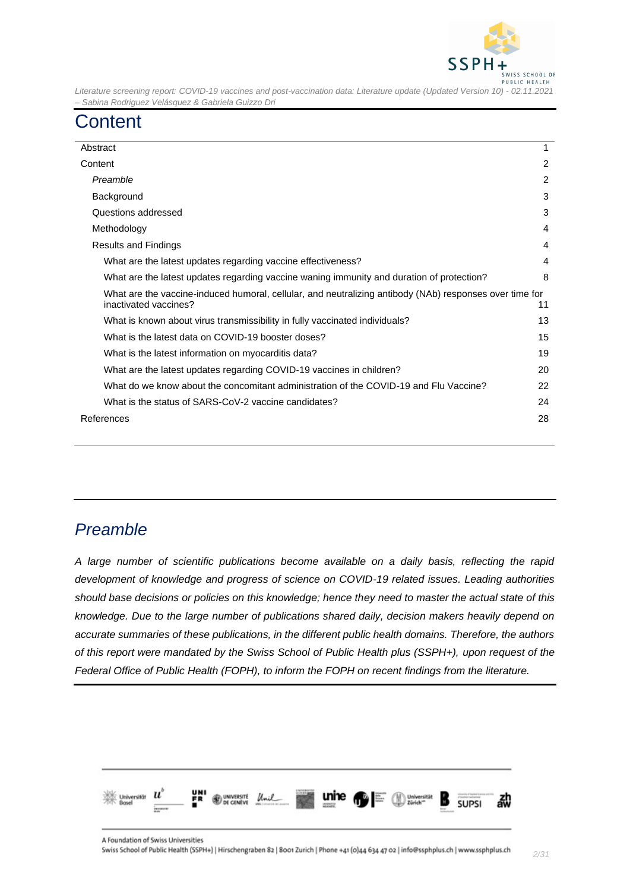

## <span id="page-1-0"></span>**Content**

| Abstract                                                                                                                         |                |
|----------------------------------------------------------------------------------------------------------------------------------|----------------|
| Content                                                                                                                          | $\overline{2}$ |
| Preamble                                                                                                                         |                |
| Background                                                                                                                       |                |
| Questions addressed                                                                                                              |                |
| Methodology                                                                                                                      | 4              |
| Results and Findings                                                                                                             | 4              |
| What are the latest updates regarding vaccine effectiveness?                                                                     | 4              |
| What are the latest updates regarding vaccine waning immunity and duration of protection?                                        | 8              |
| What are the vaccine-induced humoral, cellular, and neutralizing antibody (NAb) responses over time for<br>inactivated vaccines? | 11             |
| What is known about virus transmissibility in fully vaccinated individuals?                                                      | 13             |
| What is the latest data on COVID-19 booster doses?                                                                               | 15             |
| What is the latest information on myocarditis data?                                                                              |                |
| What are the latest updates regarding COVID-19 vaccines in children?                                                             |                |
| What do we know about the concomitant administration of the COVID-19 and Flu Vaccine?                                            |                |
| What is the status of SARS-CoV-2 vaccine candidates?                                                                             |                |
| References                                                                                                                       | 28             |
|                                                                                                                                  |                |

### <span id="page-1-1"></span>*Preamble*

*A large number of scientific publications become available on a daily basis, reflecting the rapid development of knowledge and progress of science on COVID-19 related issues. Leading authorities should base decisions or policies on this knowledge; hence they need to master the actual state of this knowledge. Due to the large number of publications shared daily, decision makers heavily depend on accurate summaries of these publications, in the different public health domains. Therefore, the authors of this report were mandated by the Swiss School of Public Health plus (SSPH+), upon request of the Federal Office of Public Health (FOPH), to inform the FOPH on recent findings from the literature.*

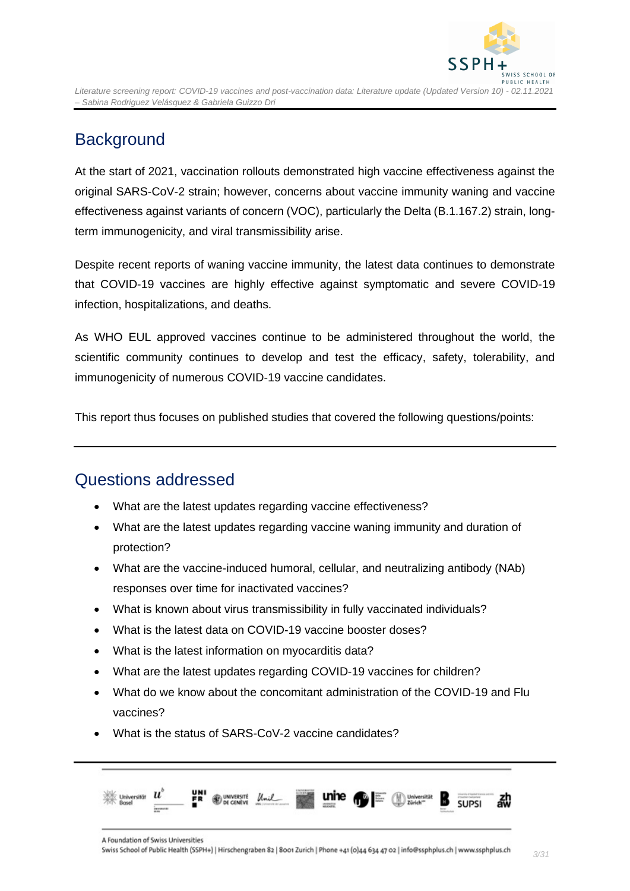

## <span id="page-2-0"></span>**Background**

At the start of 2021, vaccination rollouts demonstrated high vaccine effectiveness against the original SARS-CoV-2 strain; however, concerns about vaccine immunity waning and vaccine effectiveness against variants of concern (VOC), particularly the Delta (B.1.167.2) strain, longterm immunogenicity, and viral transmissibility arise.

Despite recent reports of waning vaccine immunity, the latest data continues to demonstrate that COVID-19 vaccines are highly effective against symptomatic and severe COVID-19 infection, hospitalizations, and deaths.

As WHO EUL approved vaccines continue to be administered throughout the world, the scientific community continues to develop and test the efficacy, safety, tolerability, and immunogenicity of numerous COVID-19 vaccine candidates.

This report thus focuses on published studies that covered the following questions/points:

### <span id="page-2-1"></span>Questions addressed

- What are the latest updates regarding vaccine effectiveness?
- What are the latest updates regarding vaccine waning immunity and duration of protection?
- What are the vaccine-induced humoral, cellular, and neutralizing antibody (NAb) responses over time for inactivated vaccines?
- What is known about virus transmissibility in fully vaccinated individuals?
- What is the latest data on COVID-19 vaccine booster doses?
- What is the latest information on myocarditis data?
- What are the latest updates regarding COVID-19 vaccines for children?
- What do we know about the concomitant administration of the COVID-19 and Flu vaccines?
- What is the status of SARS-CoV-2 vaccine candidates?

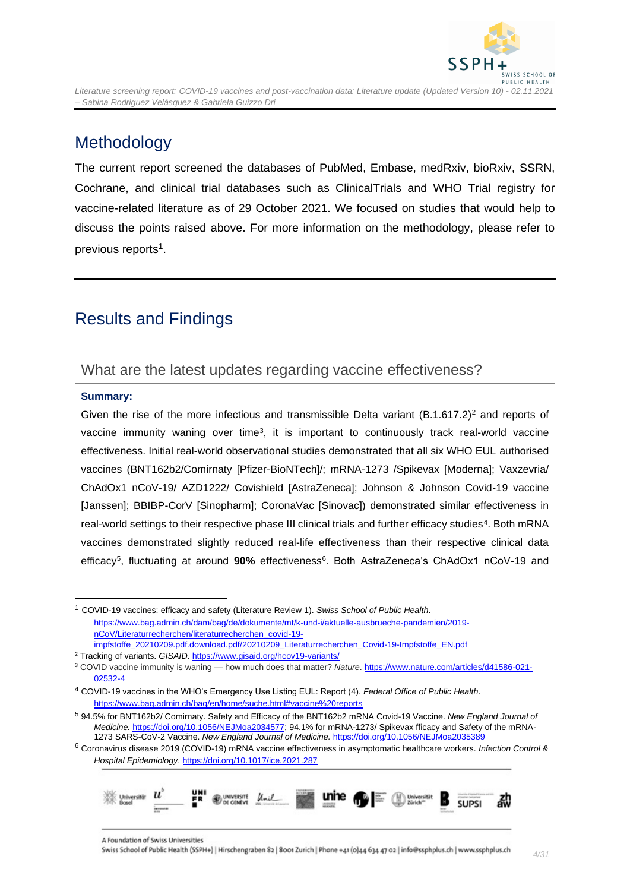

### **Methodology**

<span id="page-3-0"></span>*– Sabina Rodriguez Velásquez & Gabriela Guizzo Dri*

The current report screened the databases of PubMed, Embase, medRxiv, bioRxiv, SSRN, Cochrane, and clinical trial databases such as ClinicalTrials and WHO Trial registry for vaccine-related literature as of 29 October 2021. We focused on studies that would help to discuss the points raised above. For more information on the methodology, please refer to previous reports<sup>1</sup>.

## <span id="page-3-1"></span>Results and Findings

### <span id="page-3-2"></span>What are the latest updates regarding vaccine effectiveness?

#### **Summary:**

Given the rise of the more infectious and transmissible Delta variant  $(B.1.617.2)^2$  and reports of vaccine immunity waning over time<sup>3</sup>, it is important to continuously track real-world vaccine effectiveness. Initial real-world observational studies demonstrated that all six WHO EUL authorised vaccines (BNT162b2/Comirnaty [Pfizer-BioNTech]/; mRNA-1273 /Spikevax [Moderna]; Vaxzevria/ ChAdOx1 nCoV-19/ AZD1222/ Covishield [AstraZeneca]; Johnson & Johnson Covid-19 vaccine [Janssen]; BBIBP-CorV [Sinopharm]; CoronaVac [Sinovac]) demonstrated similar effectiveness in real-world settings to their respective phase III clinical trials and further efficacy studies<sup>4</sup>. Both mRNA vaccines demonstrated slightly reduced real-life effectiveness than their respective clinical data efficacy<sup>5</sup>, fluctuating at around 90% effectiveness<sup>6</sup>. Both AstraZeneca's ChAdOx1 nCoV-19 and

<sup>6</sup> Coronavirus disease 2019 (COVID-19) mRNA vaccine effectiveness in asymptomatic healthcare workers. *Infection Control & Hospital Epidemiology*[. https://doi.org/10.1017/ice.2021.287](https://doi.org/10.1017/ice.2021.287)



<sup>1</sup> COVID-19 vaccines: efficacy and safety (Literature Review 1). *Swiss School of Public Health*. [https://www.bag.admin.ch/dam/bag/de/dokumente/mt/k-und-i/aktuelle-ausbrueche-pandemien/2019](https://www.bag.admin.ch/dam/bag/de/dokumente/mt/k-und-i/aktuelle-ausbrueche-pandemien/2019-nCoV/Literaturrecherchen/literaturrecherchen_covid-19-impfstoffe_20210209.pdf.download.pdf/20210209_Literaturrecherchen_Covid-19-Impfstoffe_EN.pdf) [nCoV/Literaturrecherchen/literaturrecherchen\\_covid-19](https://www.bag.admin.ch/dam/bag/de/dokumente/mt/k-und-i/aktuelle-ausbrueche-pandemien/2019-nCoV/Literaturrecherchen/literaturrecherchen_covid-19-impfstoffe_20210209.pdf.download.pdf/20210209_Literaturrecherchen_Covid-19-Impfstoffe_EN.pdf) [impfstoffe\\_20210209.pdf.download.pdf/20210209\\_Literaturrecherchen\\_Covid-19-Impfstoffe\\_EN.pdf](https://www.bag.admin.ch/dam/bag/de/dokumente/mt/k-und-i/aktuelle-ausbrueche-pandemien/2019-nCoV/Literaturrecherchen/literaturrecherchen_covid-19-impfstoffe_20210209.pdf.download.pdf/20210209_Literaturrecherchen_Covid-19-Impfstoffe_EN.pdf)

<sup>&</sup>lt;sup>2</sup> Tracking of variants. *GISAID*[. https://www.gisaid.org/hcov19-variants/](https://www.gisaid.org/hcov19-variants/)

<sup>&</sup>lt;sup>3</sup> COVID vaccine immunity is waning — how much does that matter? Nature[. https://www.nature.com/articles/d41586-021-](https://www.nature.com/articles/d41586-021-02532-4) [02532-4](https://www.nature.com/articles/d41586-021-02532-4)

<sup>4</sup> COVID-19 vaccines in the WHO's Emergency Use Listing EUL: Report (4). *Federal Office of Public Health*. <https://www.bag.admin.ch/bag/en/home/suche.html#vaccine%20reports>

<sup>5</sup> 94.5% for BNT162b2/ Comirnaty. Safety and Efficacy of the BNT162b2 mRNA Covid-19 Vaccine. *New England Journal of Medicine.* [https://doi.org/10.1056/NEJMoa2034577;](https://doi.org/10.1056/NEJMoa2034577) 94.1% for mRNA-1273/ Spikevax fficacy and Safety of the mRNA-1273 SARS-CoV-2 Vaccine. *New England Journal of Medicine.* <https://doi.org/10.1056/NEJMoa2035389>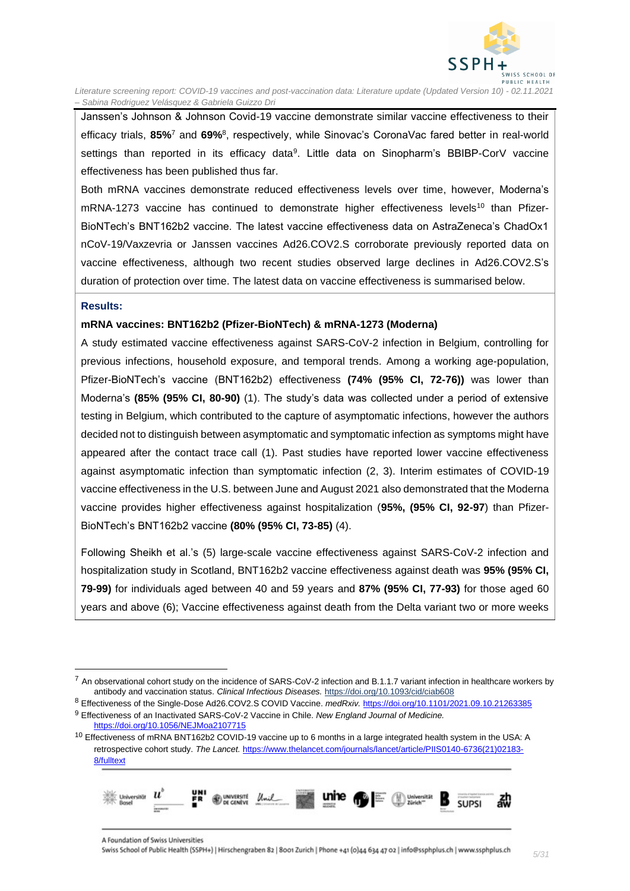

Janssen's Johnson & Johnson Covid-19 vaccine demonstrate similar vaccine effectiveness to their efficacy trials, **85%**<sup>7</sup> and **69%**<sup>8</sup> , respectively, while Sinovac's CoronaVac fared better in real-world settings than reported in its efficacy data<sup>9</sup>. Little data on Sinopharm's BBIBP-CorV vaccine effectiveness has been published thus far.

Both mRNA vaccines demonstrate reduced effectiveness levels over time, however, Moderna's mRNA-1273 vaccine has continued to demonstrate higher effectiveness levels<sup>10</sup> than Pfizer-BioNTech's BNT162b2 vaccine. The latest vaccine effectiveness data on AstraZeneca's ChadOx1 nCoV-19/Vaxzevria or Janssen vaccines Ad26.COV2.S corroborate previously reported data on vaccine effectiveness, although two recent studies observed large declines in Ad26.COV2.S's duration of protection over time. The latest data on vaccine effectiveness is summarised below.

#### **Results:**

#### **mRNA vaccines: BNT162b2 (Pfizer-BioNTech) & mRNA-1273 (Moderna)**

A study estimated vaccine effectiveness against SARS-CoV-2 infection in Belgium, controlling for previous infections, household exposure, and temporal trends. Among a working age-population, Pfizer-BioNTech's vaccine (BNT162b2) effectiveness **(74% (95% CI, 72-76))** was lower than Moderna's **(85% (95% CI, 80-90)** (1). The study's data was collected under a period of extensive testing in Belgium, which contributed to the capture of asymptomatic infections, however the authors decided not to distinguish between asymptomatic and symptomatic infection as symptoms might have appeared after the contact trace call (1). Past studies have reported lower vaccine effectiveness against asymptomatic infection than symptomatic infection (2, 3). Interim estimates of COVID-19 vaccine effectiveness in the U.S. between June and August 2021 also demonstrated that the Moderna vaccine provides higher effectiveness against hospitalization (**95%, (95% CI, 92-97**) than Pfizer-BioNTech's BNT162b2 vaccine **(80% (95% CI, 73-85)** (4).

Following Sheikh et al.'s (5) large-scale vaccine effectiveness against SARS-CoV-2 infection and hospitalization study in Scotland, BNT162b2 vaccine effectiveness against death was **95% (95% CI, 79-99)** for individuals aged between 40 and 59 years and **87% (95% CI, 77-93)** for those aged 60 years and above (6); Vaccine effectiveness against death from the Delta variant two or more weeks

 $10$  Effectiveness of mRNA BNT162b2 COVID-19 vaccine up to 6 months in a large integrated health system in the USA: A retrospective cohort study. *The Lancet.* [https://www.thelancet.com/journals/lancet/article/PIIS0140-6736\(21\)02183-](https://www.thelancet.com/journals/lancet/article/PIIS0140-6736(21)02183-8/fulltext) [8/fulltext](https://www.thelancet.com/journals/lancet/article/PIIS0140-6736(21)02183-8/fulltext)



<sup>&</sup>lt;sup>7</sup> An observational cohort study on the incidence of SARS-CoV-2 infection and B.1.1.7 variant infection in healthcare workers by antibody and vaccination status. *Clinical Infectious Diseases.* <https://doi.org/10.1093/cid/ciab608>

<sup>8</sup> Effectiveness of the Single-Dose Ad26.COV2.S COVID Vaccine. *medRxiv.* <https://doi.org/10.1101/2021.09.10.21263385> <sup>9</sup> Effectiveness of an Inactivated SARS-CoV-2 Vaccine in Chile. *New England Journal of Medicine.*  <https://doi.org/10.1056/NEJMoa2107715>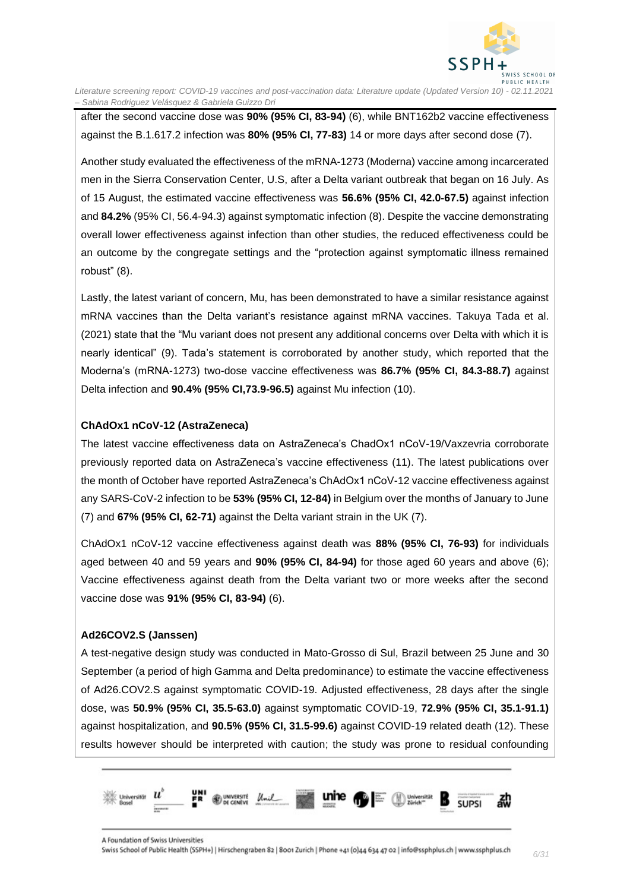

after the second vaccine dose was **90% (95% CI, 83-94)** (6), while BNT162b2 vaccine effectiveness against the B.1.617.2 infection was **80% (95% CI, 77-83)** 14 or more days after second dose (7).

Another study evaluated the effectiveness of the mRNA-1273 (Moderna) vaccine among incarcerated men in the Sierra Conservation Center, U.S, after a Delta variant outbreak that began on 16 July. As of 15 August, the estimated vaccine effectiveness was **56.6% (95% CI, 42.0-67.5)** against infection and **84.2%** (95% CI, 56.4-94.3) against symptomatic infection (8). Despite the vaccine demonstrating overall lower effectiveness against infection than other studies, the reduced effectiveness could be an outcome by the congregate settings and the "protection against symptomatic illness remained robust" (8).

Lastly, the latest variant of concern, Mu, has been demonstrated to have a similar resistance against mRNA vaccines than the Delta variant's resistance against mRNA vaccines. Takuya Tada et al. (2021) state that the "Mu variant does not present any additional concerns over Delta with which it is nearly identical" (9). Tada's statement is corroborated by another study, which reported that the Moderna's (mRNA-1273) two-dose vaccine effectiveness was **86.7% (95% CI, 84.3-88.7)** against Delta infection and **90.4% (95% CI,73.9-96.5)** against Mu infection (10).

#### **ChAdOx1 nCoV-12 (AstraZeneca)**

The latest vaccine effectiveness data on AstraZeneca's ChadOx1 nCoV-19/Vaxzevria corroborate previously reported data on AstraZeneca's vaccine effectiveness (11). The latest publications over the month of October have reported AstraZeneca's ChAdOx1 nCoV-12 vaccine effectiveness against any SARS-CoV-2 infection to be **53% (95% CI, 12-84)** in Belgium over the months of January to June (7) and **67% (95% CI, 62-71)** against the Delta variant strain in the UK (7).

ChAdOx1 nCoV-12 vaccine effectiveness against death was **88% (95% CI, 76-93)** for individuals aged between 40 and 59 years and **90% (95% CI, 84-94)** for those aged 60 years and above (6); Vaccine effectiveness against death from the Delta variant two or more weeks after the second vaccine dose was **91% (95% CI, 83-94)** (6).

#### **Ad26COV2.S (Janssen)**

A test-negative design study was conducted in Mato-Grosso di Sul, Brazil between 25 June and 30 September (a period of high Gamma and Delta predominance) to estimate the vaccine effectiveness of Ad26.COV2.S against symptomatic COVID-19. Adjusted effectiveness, 28 days after the single dose, was **50.9% (95% CI, 35.5-63.0)** against symptomatic COVID-19, **72.9% (95% CI, 35.1-91.1)** against hospitalization, and **90.5% (95% CI, 31.5-99.6)** against COVID-19 related death (12). These results however should be interpreted with caution; the study was prone to residual confounding

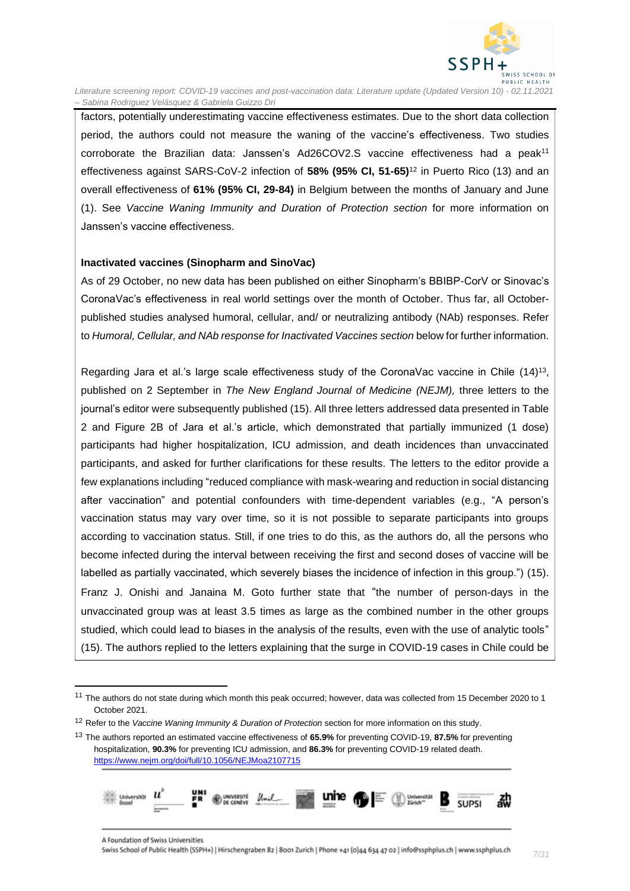

factors, potentially underestimating vaccine effectiveness estimates. Due to the short data collection period, the authors could not measure the waning of the vaccine's effectiveness. Two studies corroborate the Brazilian data: Janssen's Ad26COV2.S vaccine effectiveness had a peak<sup>11</sup> effectiveness against SARS-CoV-2 infection of **58% (95% CI, 51-65)**<sup>12</sup> in Puerto Rico (13) and an overall effectiveness of **61% (95% CI, 29-84)** in Belgium between the months of January and June (1). See *Vaccine Waning Immunity and Duration of Protection section* for more information on Janssen's vaccine effectiveness.

#### **Inactivated vaccines (Sinopharm and SinoVac)**

As of 29 October, no new data has been published on either Sinopharm's BBIBP-CorV or Sinovac's CoronaVac's effectiveness in real world settings over the month of October. Thus far, all Octoberpublished studies analysed humoral, cellular, and/ or neutralizing antibody (NAb) responses. Refer to *Humoral, Cellular, and NAb response for Inactivated Vaccines section* below for further information.

Regarding Jara et al.'s large scale effectiveness study of the CoronaVac vaccine in Chile  $(14)^{13}$ , published on 2 September in *The New England Journal of Medicine (NEJM),* three letters to the journal's editor were subsequently published (15). All three letters addressed data presented in Table 2 and Figure 2B of Jara et al.'s article, which demonstrated that partially immunized (1 dose) participants had higher hospitalization, ICU admission, and death incidences than unvaccinated participants, and asked for further clarifications for these results. The letters to the editor provide a few explanations including "reduced compliance with mask-wearing and reduction in social distancing after vaccination" and potential confounders with time-dependent variables (e.g., "A person's vaccination status may vary over time, so it is not possible to separate participants into groups according to vaccination status. Still, if one tries to do this, as the authors do, all the persons who become infected during the interval between receiving the first and second doses of vaccine will be labelled as partially vaccinated, which severely biases the incidence of infection in this group.") (15). Franz J. Onishi and Janaina M. Goto further state that "the number of person-days in the unvaccinated group was at least 3.5 times as large as the combined number in the other groups studied, which could lead to biases in the analysis of the results, even with the use of analytic tools" (15). The authors replied to the letters explaining that the surge in COVID-19 cases in Chile could be

<sup>13</sup> The authors reported an estimated vaccine effectiveness of **65.9%** for preventing COVID-19, **87.5%** for preventing hospitalization, **90.3%** for preventing ICU admission, and **86.3%** for preventing COVID-19 related death. <https://www.nejm.org/doi/full/10.1056/NEJMoa2107715>



<sup>&</sup>lt;sup>11</sup> The authors do not state during which month this peak occurred; however, data was collected from 15 December 2020 to 1 October 2021.

<sup>12</sup> Refer to the *Vaccine Waning Immunity & Duration of Protection* section for more information on this study.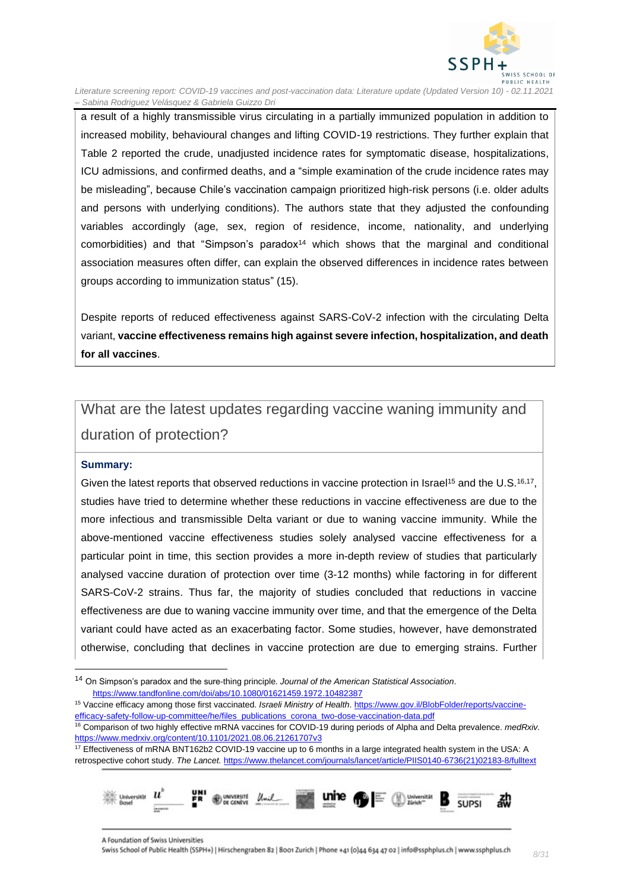

a result of a highly transmissible virus circulating in a partially immunized population in addition to increased mobility, behavioural changes and lifting COVID-19 restrictions. They further explain that Table 2 reported the crude, unadjusted incidence rates for symptomatic disease, hospitalizations, ICU admissions, and confirmed deaths, and a "simple examination of the crude incidence rates may be misleading", because Chile's vaccination campaign prioritized high-risk persons (i.e. older adults and persons with underlying conditions). The authors state that they adjusted the confounding variables accordingly (age, sex, region of residence, income, nationality, and underlying comorbidities) and that "Simpson's paradox $14$  which shows that the marginal and conditional association measures often differ, can explain the observed differences in incidence rates between groups according to immunization status" (15).

Despite reports of reduced effectiveness against SARS-CoV-2 infection with the circulating Delta variant, **vaccine effectiveness remains high against severe infection, hospitalization, and death for all vaccines**.

## <span id="page-7-0"></span>What are the latest updates regarding vaccine waning immunity and duration of protection?

#### **Summary:**

Given the latest reports that observed reductions in vaccine protection in Israel<sup>15</sup> and the U.S.<sup>16,17</sup>, studies have tried to determine whether these reductions in vaccine effectiveness are due to the more infectious and transmissible Delta variant or due to waning vaccine immunity. While the above-mentioned vaccine effectiveness studies solely analysed vaccine effectiveness for a particular point in time, this section provides a more in-depth review of studies that particularly analysed vaccine duration of protection over time (3-12 months) while factoring in for different SARS-CoV-2 strains. Thus far, the majority of studies concluded that reductions in vaccine effectiveness are due to waning vaccine immunity over time, and that the emergence of the Delta variant could have acted as an exacerbating factor. Some studies, however, have demonstrated otherwise, concluding that declines in vaccine protection are due to emerging strains. Further

<sup>&</sup>lt;sup>17</sup> Effectiveness of mRNA BNT162b2 COVID-19 vaccine up to 6 months in a large integrated health system in the USA: A retrospective cohort study. *The Lancet.* [https://www.thelancet.com/journals/lancet/article/PIIS0140-6736\(21\)02183-8/fulltext](https://www.thelancet.com/journals/lancet/article/PIIS0140-6736(21)02183-8/fulltext)



<sup>14</sup> On Simpson's paradox and the sure-thing principle. *Journal of the American Statistical Association*. <https://www.tandfonline.com/doi/abs/10.1080/01621459.1972.10482387>

<sup>15</sup> Vaccine efficacy among those first vaccinated. *Israeli Ministry of Health*[. https://www.gov.il/BlobFolder/reports/vaccine](https://www.gov.il/BlobFolder/reports/vaccine-efficacy-safety-follow-up-committee/he/files_publications_corona_two-dose-vaccination-data.pdf)[efficacy-safety-follow-up-committee/he/files\\_publications\\_corona\\_two-dose-vaccination-data.pdf](https://www.gov.il/BlobFolder/reports/vaccine-efficacy-safety-follow-up-committee/he/files_publications_corona_two-dose-vaccination-data.pdf)

<sup>16</sup> Comparison of two highly effective mRNA vaccines for COVID-19 during periods of Alpha and Delta prevalence. *medRxiv.* <https://www.medrxiv.org/content/10.1101/2021.08.06.21261707v3>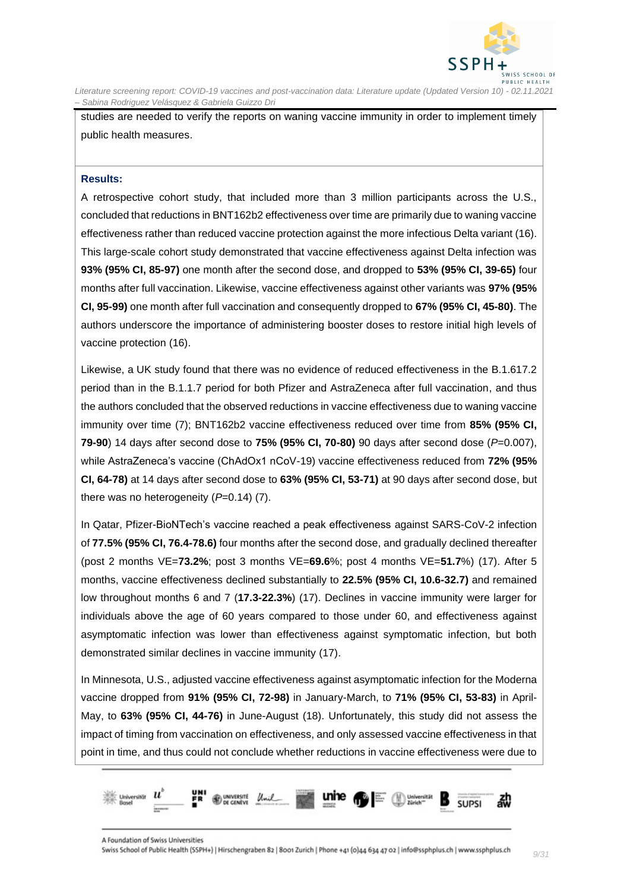

studies are needed to verify the reports on waning vaccine immunity in order to implement timely public health measures.

#### **Results:**

A retrospective cohort study, that included more than 3 million participants across the U.S., concluded that reductions in BNT162b2 effectiveness over time are primarily due to waning vaccine effectiveness rather than reduced vaccine protection against the more infectious Delta variant (16). This large-scale cohort study demonstrated that vaccine effectiveness against Delta infection was **93% (95% CI, 85-97)** one month after the second dose, and dropped to **53% (95% CI, 39-65)** four months after full vaccination. Likewise, vaccine effectiveness against other variants was **97% (95% CI, 95-99)** one month after full vaccination and consequently dropped to **67% (95% CI, 45-80)**. The authors underscore the importance of administering booster doses to restore initial high levels of vaccine protection (16).

Likewise, a UK study found that there was no evidence of reduced effectiveness in the B.1.617.2 period than in the B.1.1.7 period for both Pfizer and AstraZeneca after full vaccination, and thus the authors concluded that the observed reductions in vaccine effectiveness due to waning vaccine immunity over time (7); BNT162b2 vaccine effectiveness reduced over time from **85% (95% CI, 79-90**) 14 days after second dose to **75% (95% CI, 70-80)** 90 days after second dose (*P*=0.007), while AstraZeneca's vaccine (ChAdOx1 nCoV-19) vaccine effectiveness reduced from **72% (95% CI, 64-78)** at 14 days after second dose to **63% (95% CI, 53-71)** at 90 days after second dose, but there was no heterogeneity (*P*=0.14) (7).

In Qatar, Pfizer-BioNTech's vaccine reached a peak effectiveness against SARS-CoV-2 infection of **77.5% (95% CI, 76.4-78.6)** four months after the second dose, and gradually declined thereafter (post 2 months VE=**73.2%**; post 3 months VE=**69.6**%; post 4 months VE=**51.7**%) (17). After 5 months, vaccine effectiveness declined substantially to **22.5% (95% CI, 10.6-32.7)** and remained low throughout months 6 and 7 (**17.3-22.3%**) (17). Declines in vaccine immunity were larger for individuals above the age of 60 years compared to those under 60, and effectiveness against asymptomatic infection was lower than effectiveness against symptomatic infection, but both demonstrated similar declines in vaccine immunity (17).

In Minnesota, U.S., adjusted vaccine effectiveness against asymptomatic infection for the Moderna vaccine dropped from **91% (95% CI, 72-98)** in January-March, to **71% (95% CI, 53-83)** in April-May, to **63% (95% CI, 44-76)** in June-August (18). Unfortunately, this study did not assess the impact of timing from vaccination on effectiveness, and only assessed vaccine effectiveness in that point in time, and thus could not conclude whether reductions in vaccine effectiveness were due to

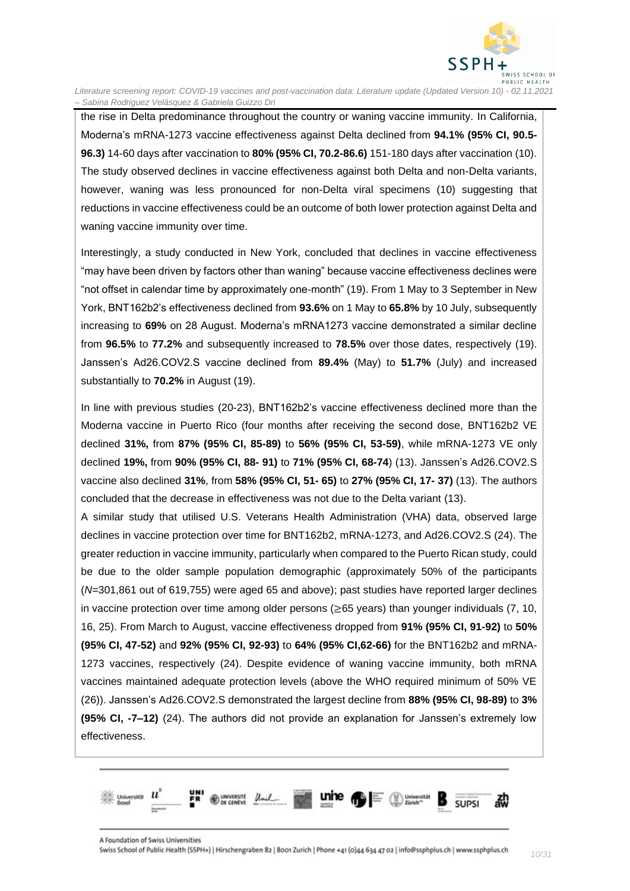

the rise in Delta predominance throughout the country or waning vaccine immunity. In California, Moderna's mRNA-1273 vaccine effectiveness against Delta declined from **94.1% (95% CI, 90.5- 96.3)** 14-60 days after vaccination to **80% (95% CI, 70.2-86.6)** 151-180 days after vaccination (10). The study observed declines in vaccine effectiveness against both Delta and non-Delta variants, however, waning was less pronounced for non-Delta viral specimens (10) suggesting that reductions in vaccine effectiveness could be an outcome of both lower protection against Delta and waning vaccine immunity over time.

Interestingly, a study conducted in New York, concluded that declines in vaccine effectiveness "may have been driven by factors other than waning" because vaccine effectiveness declines were "not offset in calendar time by approximately one-month" (19). From 1 May to 3 September in New York, BNT162b2's effectiveness declined from **93.6%** on 1 May to **65.8%** by 10 July, subsequently increasing to **69%** on 28 August. Moderna's mRNA1273 vaccine demonstrated a similar decline from **96.5%** to **77.2%** and subsequently increased to **78.5%** over those dates, respectively (19). Janssen's Ad26.COV2.S vaccine declined from **89.4%** (May) to **51.7%** (July) and increased substantially to **70.2%** in August (19).

In line with previous studies (20-23), BNT162b2's vaccine effectiveness declined more than the Moderna vaccine in Puerto Rico (four months after receiving the second dose, BNT162b2 VE declined **31%,** from **87% (95% CI, 85-89)** to **56% (95% CI, 53-59)**, while mRNA-1273 VE only declined **19%,** from **90% (95% CI, 88- 91)** to **71% (95% CI, 68-74**) (13). Janssen's Ad26.COV2.S vaccine also declined **31%**, from **58% (95% CI, 51- 65)** to **27% (95% CI, 17- 37)** (13). The authors concluded that the decrease in effectiveness was not due to the Delta variant (13).

A similar study that utilised U.S. Veterans Health Administration (VHA) data, observed large declines in vaccine protection over time for BNT162b2, mRNA-1273, and Ad26.COV2.S (24). The greater reduction in vaccine immunity, particularly when compared to the Puerto Rican study, could be due to the older sample population demographic (approximately 50% of the participants (*N*=301,861 out of 619,755) were aged 65 and above); past studies have reported larger declines in vaccine protection over time among older persons (≥65 years) than younger individuals (7, 10, 16, 25). From March to August, vaccine effectiveness dropped from **91% (95% CI, 91-92)** to **50% (95% CI, 47-52)** and **92% (95% CI, 92-93)** to **64% (95% CI,62-66)** for the BNT162b2 and mRNA-1273 vaccines, respectively (24). Despite evidence of waning vaccine immunity, both mRNA vaccines maintained adequate protection levels (above the WHO required minimum of 50% VE (26)). Janssen's Ad26.COV2.S demonstrated the largest decline from **88% (95% CI, 98-89)** to **3% (95% CI, -7–12)** (24). The authors did not provide an explanation for Janssen's extremely low effectiveness.

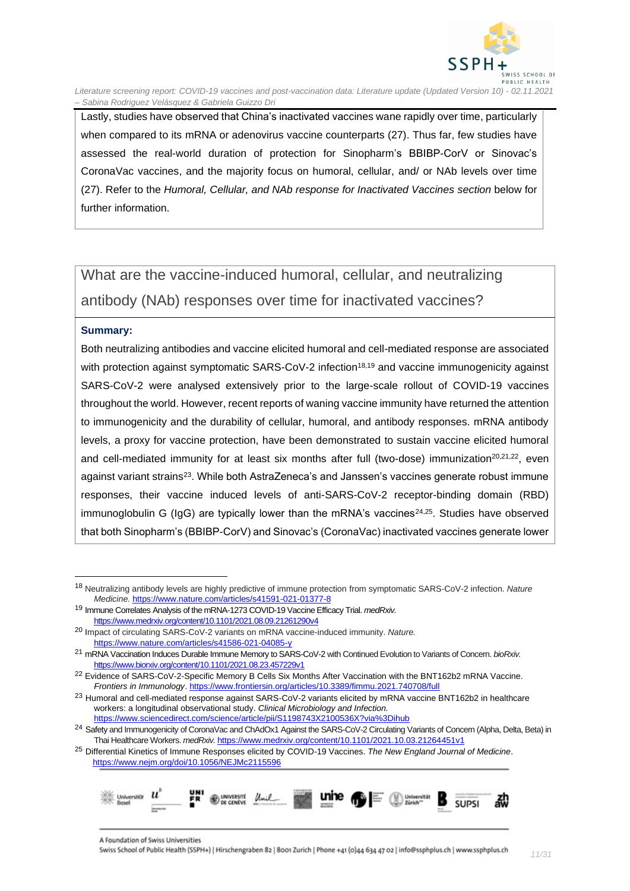

Lastly, studies have observed that China's inactivated vaccines wane rapidly over time, particularly when compared to its mRNA or adenovirus vaccine counterparts (27). Thus far, few studies have assessed the real-world duration of protection for Sinopharm's BBIBP-CorV or Sinovac's CoronaVac vaccines, and the majority focus on humoral, cellular, and/ or NAb levels over time (27). Refer to the *Humoral, Cellular, and NAb response for Inactivated Vaccines section* below for further information.

## <span id="page-10-0"></span>What are the vaccine-induced humoral, cellular, and neutralizing antibody (NAb) responses over time for inactivated vaccines?

#### **Summary:**

Both neutralizing antibodies and vaccine elicited humoral and cell-mediated response are associated with protection against symptomatic SARS-CoV-2 infection<sup>18,19</sup> and vaccine immunogenicity against SARS-CoV-2 were analysed extensively prior to the large-scale rollout of COVID-19 vaccines throughout the world. However, recent reports of waning vaccine immunity have returned the attention to immunogenicity and the durability of cellular, humoral, and antibody responses. mRNA antibody levels, a proxy for vaccine protection, have been demonstrated to sustain vaccine elicited humoral and cell-mediated immunity for at least six months after full (two-dose) immunization<sup>20,21,22</sup>, even against variant strains<sup>23</sup>. While both AstraZeneca's and Janssen's vaccines generate robust immune responses, their vaccine induced levels of anti-SARS-CoV-2 receptor-binding domain (RBD) immunoglobulin G ( $\lg G$ ) are typically lower than the mRNA's vaccines<sup>24,25</sup>. Studies have observed that both Sinopharm's (BBIBP-CorV) and Sinovac's (CoronaVac) inactivated vaccines generate lower

<sup>25</sup> Differential Kinetics of Immune Responses elicited by COVID-19 Vaccines. *The New England Journal of Medicine*. <https://www.nejm.org/doi/10.1056/NEJMc2115596>



<sup>18</sup> Neutralizing antibody levels are highly predictive of immune protection from symptomatic SARS-CoV-2 infection. *Nature Medicine.* <https://www.nature.com/articles/s41591-021-01377-8>

<sup>19</sup> Immune Correlates Analysis of the mRNA-1273 COVID-19 Vaccine Efficacy Trial. *medRxiv.*  <https://www.medrxiv.org/content/10.1101/2021.08.09.21261290v4>

<sup>20</sup> Impact of circulating SARS-CoV-2 variants on mRNA vaccine-induced immunity. *Nature.*  <https://www.nature.com/articles/s41586-021-04085-y>

<sup>21</sup> mRNA Vaccination Induces Durable Immune Memory to SARS-CoV-2 with Continued Evolution to Variants of Concern. *bioRxiv.*  <https://www.biorxiv.org/content/10.1101/2021.08.23.457229v1>

<sup>&</sup>lt;sup>22</sup> Evidence of SARS-CoV-2-Specific Memory B Cells Six Months After Vaccination with the BNT162b2 mRNA Vaccine. *Frontiers in Immunology*[. https://www.frontiersin.org/articles/10.3389/fimmu.2021.740708/full](https://www.frontiersin.org/articles/10.3389/fimmu.2021.740708/full)

<sup>&</sup>lt;sup>23</sup> Humoral and cell-mediated response against SARS-CoV-2 variants elicited by mRNA vaccine BNT162b2 in healthcare workers: a longitudinal observational study. *Clinical Microbiology and Infection.* <https://www.sciencedirect.com/science/article/pii/S1198743X2100536X?via%3Dihub>

<sup>&</sup>lt;sup>24</sup> Safety and Immunogenicity of CoronaVac and ChAdOx1 Against the SARS-CoV-2 Circulating Variants of Concern (Alpha, Delta, Beta) in Thai Healthcare Workers. *medRxiv.* <https://www.medrxiv.org/content/10.1101/2021.10.03.21264451v1>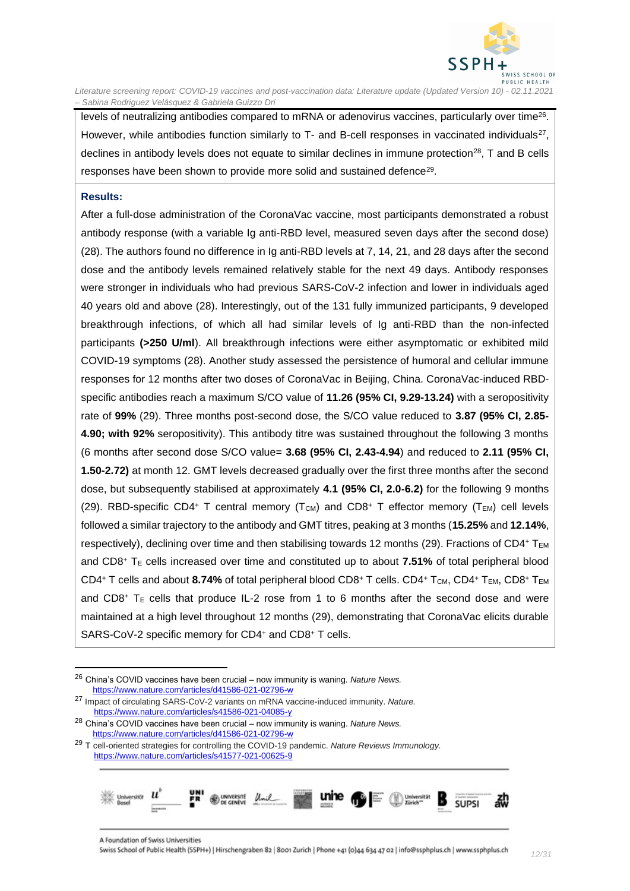

levels of neutralizing antibodies compared to mRNA or adenovirus vaccines, particularly over time<sup>26</sup>. However, while antibodies function similarly to T- and B-cell responses in vaccinated individuals<sup>27</sup>, declines in antibody levels does not equate to similar declines in immune protection<sup>28</sup>, T and B cells responses have been shown to provide more solid and sustained defence<sup>29</sup>.

#### **Results:**

After a full-dose administration of the CoronaVac vaccine, most participants demonstrated a robust antibody response (with a variable Ig anti-RBD level, measured seven days after the second dose) (28). The authors found no difference in Ig anti-RBD levels at 7, 14, 21, and 28 days after the second dose and the antibody levels remained relatively stable for the next 49 days. Antibody responses were stronger in individuals who had previous SARS-CoV-2 infection and lower in individuals aged 40 years old and above (28). Interestingly, out of the 131 fully immunized participants, 9 developed breakthrough infections, of which all had similar levels of Ig anti-RBD than the non-infected participants **(>250 U/ml**). All breakthrough infections were either asymptomatic or exhibited mild COVID-19 symptoms (28). Another study assessed the persistence of humoral and cellular immune responses for 12 months after two doses of CoronaVac in Beijing, China. CoronaVac-induced RBDspecific antibodies reach a maximum S/CO value of **11.26 (95% CI, 9.29-13.24)** with a seropositivity rate of **99%** (29). Three months post-second dose, the S/CO value reduced to **3.87 (95% CI, 2.85- 4.90; with 92%** seropositivity). This antibody titre was sustained throughout the following 3 months (6 months after second dose S/CO value= **3.68 (95% CI, 2.43-4.94**) and reduced to **2.11 (95% CI, 1.50-2.72)** at month 12. GMT levels decreased gradually over the first three months after the second dose, but subsequently stabilised at approximately **4.1 (95% CI, 2.0-6.2)** for the following 9 months (29). RBD-specific CD4+ T central memory  $(T<sub>CM</sub>)$  and CD8+ T effector memory  $(T<sub>EM</sub>)$  cell levels followed a similar trajectory to the antibody and GMT titres, peaking at 3 months (**15.25%** and **12.14%**, respectively), declining over time and then stabilising towards 12 months (29). Fractions of CD4+  $T_{EM}$ and  $CD8$ <sup>+</sup> T<sub>E</sub> cells increased over time and constituted up to about **7.51%** of total peripheral blood CD4<sup>+</sup> T cells and about 8.74% of total peripheral blood CD8<sup>+</sup> T cells. CD4<sup>+</sup> T<sub>CM</sub>, CD4<sup>+</sup> T<sub>EM</sub>, CD8<sup>+</sup> T<sub>EM</sub> and CD8<sup>+</sup> T<sub>E</sub> cells that produce IL-2 rose from 1 to 6 months after the second dose and were maintained at a high level throughout 12 months (29), demonstrating that CoronaVac elicits durable SARS-CoV-2 specific memory for CD4<sup>+</sup> and CD8<sup>+</sup> T cells.

<sup>29</sup> T cell-oriented strategies for controlling the COVID-19 pandemic. *Nature Reviews Immunology.*  <https://www.nature.com/articles/s41577-021-00625-9>



<sup>26</sup> China's COVID vaccines have been crucial – now immunity is waning. *Nature News.*  <https://www.nature.com/articles/d41586-021-02796-w>

<sup>27</sup> Impact of circulating SARS-CoV-2 variants on mRNA vaccine-induced immunity. *Nature.* <https://www.nature.com/articles/s41586-021-04085-y>

<sup>28</sup> China's COVID vaccines have been crucial – now immunity is waning. *Nature News.* <https://www.nature.com/articles/d41586-021-02796-w>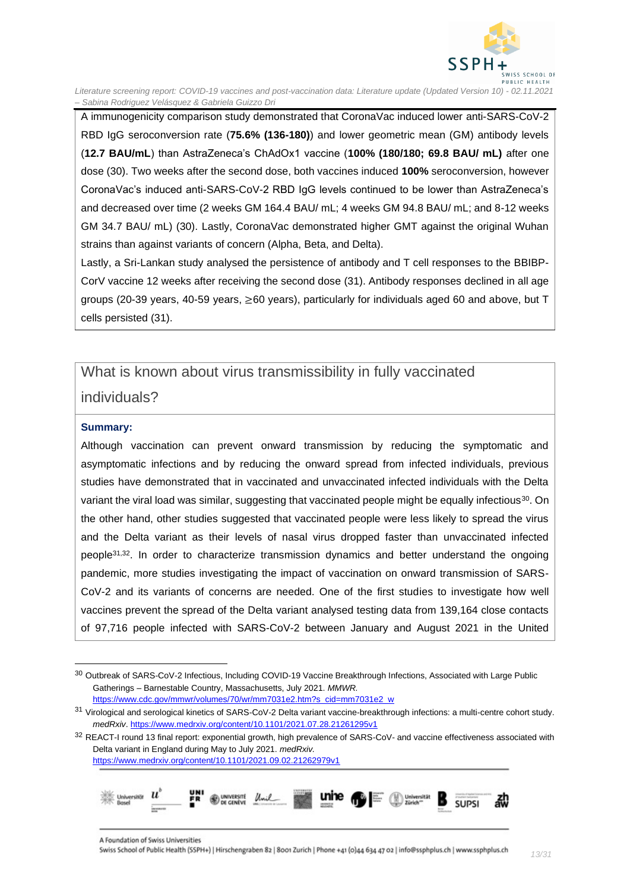

A immunogenicity comparison study demonstrated that CoronaVac induced lower anti-SARS-CoV-2 RBD IgG seroconversion rate (**75.6% (136-180)**) and lower geometric mean (GM) antibody levels (**12.7 BAU/mL**) than AstraZeneca's ChAdOx1 vaccine (**100% (180/180; 69.8 BAU/ mL)** after one dose (30). Two weeks after the second dose, both vaccines induced **100%** seroconversion, however CoronaVac's induced anti-SARS-CoV-2 RBD IgG levels continued to be lower than AstraZeneca's and decreased over time (2 weeks GM 164.4 BAU/ mL; 4 weeks GM 94.8 BAU/ mL; and 8-12 weeks GM 34.7 BAU/ mL) (30). Lastly, CoronaVac demonstrated higher GMT against the original Wuhan strains than against variants of concern (Alpha, Beta, and Delta).

Lastly, a Sri-Lankan study analysed the persistence of antibody and T cell responses to the BBIBP-CorV vaccine 12 weeks after receiving the second dose (31). Antibody responses declined in all age groups (20-39 years, 40-59 years, ≥60 years), particularly for individuals aged 60 and above, but T cells persisted (31).

### <span id="page-12-0"></span>What is known about virus transmissibility in fully vaccinated

#### individuals?

#### **Summary:**

Although vaccination can prevent onward transmission by reducing the symptomatic and asymptomatic infections and by reducing the onward spread from infected individuals, previous studies have demonstrated that in vaccinated and unvaccinated infected individuals with the Delta variant the viral load was similar, suggesting that vaccinated people might be equally infectious<sup>30</sup>. On the other hand, other studies suggested that vaccinated people were less likely to spread the virus and the Delta variant as their levels of nasal virus dropped faster than unvaccinated infected people<sup>31,32</sup>. In order to characterize transmission dynamics and better understand the ongoing pandemic, more studies investigating the impact of vaccination on onward transmission of SARS-CoV-2 and its variants of concerns are needed. One of the first studies to investigate how well vaccines prevent the spread of the Delta variant analysed testing data from 139,164 close contacts of 97,716 people infected with SARS-CoV-2 between January and August 2021 in the United

<https://www.medrxiv.org/content/10.1101/2021.09.02.21262979v1>



<sup>30</sup> Outbreak of SARS-CoV-2 Infectious, Including COVID-19 Vaccine Breakthrough Infections, Associated with Large Public Gatherings – Barnestable Country, Massachusetts, July 2021. *MMWR.* [https://www.cdc.gov/mmwr/volumes/70/wr/mm7031e2.htm?s\\_cid=mm7031e2\\_w](https://www.cdc.gov/mmwr/volumes/70/wr/mm7031e2.htm?s_cid=mm7031e2_w)

<sup>31</sup> Virological and serological kinetics of SARS-CoV-2 Delta variant vaccine-breakthrough infections: a multi-centre cohort study. *medRxiv*[. https://www.medrxiv.org/content/10.1101/2021.07.28.21261295v1](https://www.medrxiv.org/content/10.1101/2021.07.28.21261295v1)

<sup>32</sup> REACT-I round 13 final report: exponential growth, high prevalence of SARS-CoV- and vaccine effectiveness associated with Delta variant in England during May to July 2021. *medRxiv.*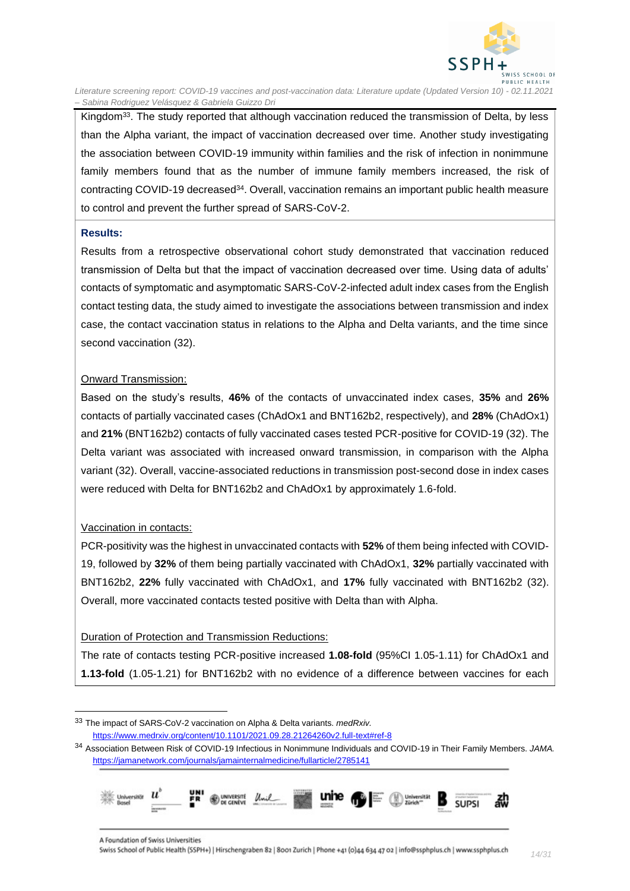

Kingdom<sup>33</sup>. The study reported that although vaccination reduced the transmission of Delta, by less than the Alpha variant, the impact of vaccination decreased over time. Another study investigating the association between COVID-19 immunity within families and the risk of infection in nonimmune family members found that as the number of immune family members increased, the risk of contracting COVID-19 decreased<sup>34</sup>. Overall, vaccination remains an important public health measure to control and prevent the further spread of SARS-CoV-2.

#### **Results:**

Results from a retrospective observational cohort study demonstrated that vaccination reduced transmission of Delta but that the impact of vaccination decreased over time. Using data of adults' contacts of symptomatic and asymptomatic SARS-CoV-2-infected adult index cases from the English contact testing data, the study aimed to investigate the associations between transmission and index case, the contact vaccination status in relations to the Alpha and Delta variants, and the time since second vaccination (32).

#### Onward Transmission:

Based on the study's results, **46%** of the contacts of unvaccinated index cases, **35%** and **26%**  contacts of partially vaccinated cases (ChAdOx1 and BNT162b2, respectively), and **28%** (ChAdOx1) and **21%** (BNT162b2) contacts of fully vaccinated cases tested PCR-positive for COVID-19 (32). The Delta variant was associated with increased onward transmission, in comparison with the Alpha variant (32). Overall, vaccine-associated reductions in transmission post-second dose in index cases were reduced with Delta for BNT162b2 and ChAdOx1 by approximately 1.6-fold.

#### Vaccination in contacts:

PCR-positivity was the highest in unvaccinated contacts with **52%** of them being infected with COVID-19, followed by **32%** of them being partially vaccinated with ChAdOx1, **32%** partially vaccinated with BNT162b2, **22%** fully vaccinated with ChAdOx1, and **17%** fully vaccinated with BNT162b2 (32). Overall, more vaccinated contacts tested positive with Delta than with Alpha.

#### Duration of Protection and Transmission Reductions:

The rate of contacts testing PCR-positive increased **1.08-fold** (95%CI 1.05-1.11) for ChAdOx1 and **1.13-fold** (1.05-1.21) for BNT162b2 with no evidence of a difference between vaccines for each

<sup>34</sup> Association Between Risk of COVID-19 Infectious in Nonimmune Individuals and COVID-19 in Their Family Members. *JAMA.* <https://jamanetwork.com/journals/jamainternalmedicine/fullarticle/2785141>



<sup>33</sup> The impact of SARS-CoV-2 vaccination on Alpha & Delta variants. *medRxiv.*  <https://www.medrxiv.org/content/10.1101/2021.09.28.21264260v2.full-text#ref-8>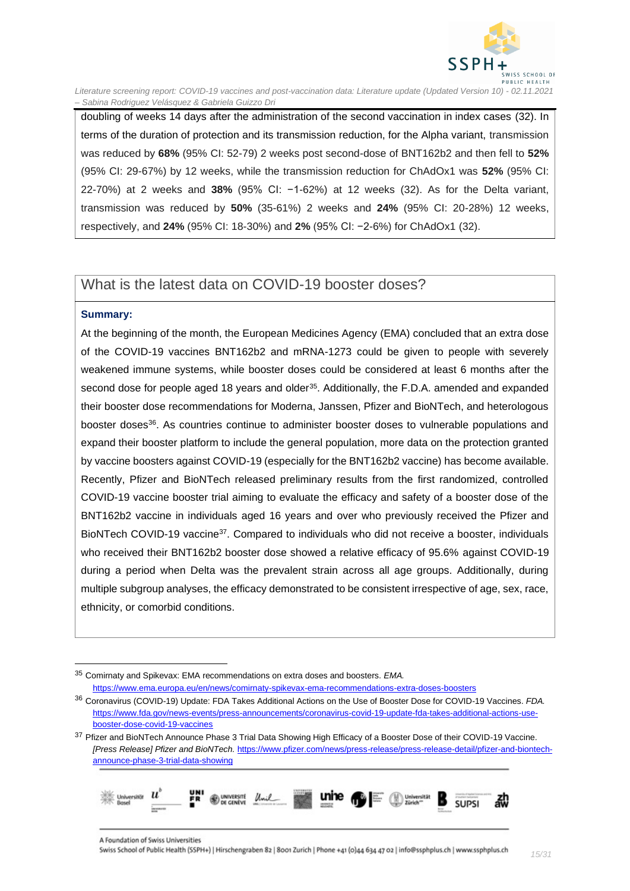

doubling of weeks 14 days after the administration of the second vaccination in index cases (32). In terms of the duration of protection and its transmission reduction, for the Alpha variant, transmission was reduced by **68%** (95% CI: 52-79) 2 weeks post second-dose of BNT162b2 and then fell to **52%** (95% CI: 29-67%) by 12 weeks, while the transmission reduction for ChAdOx1 was **52%** (95% CI: 22-70%) at 2 weeks and **38%** (95% CI: −1-62%) at 12 weeks (32). As for the Delta variant, transmission was reduced by **50%** (35-61%) 2 weeks and **24%** (95% CI: 20-28%) 12 weeks, respectively, and **24%** (95% CI: 18-30%) and **2%** (95% CI: −2-6%) for ChAdOx1 (32).

### <span id="page-14-0"></span>What is the latest data on COVID-19 booster doses?

#### **Summary:**

At the beginning of the month, the European Medicines Agency (EMA) concluded that an extra dose of the COVID-19 vaccines BNT162b2 and mRNA-1273 could be given to people with severely weakened immune systems, while booster doses could be considered at least 6 months after the second dose for people aged 18 years and older<sup>35</sup>. Additionally, the F.D.A. amended and expanded their booster dose recommendations for Moderna, Janssen, Pfizer and BioNTech, and heterologous booster doses<sup>36</sup>. As countries continue to administer booster doses to vulnerable populations and expand their booster platform to include the general population, more data on the protection granted by vaccine boosters against COVID-19 (especially for the BNT162b2 vaccine) has become available. Recently, Pfizer and BioNTech released preliminary results from the first randomized, controlled COVID-19 vaccine booster trial aiming to evaluate the efficacy and safety of a booster dose of the BNT162b2 vaccine in individuals aged 16 years and over who previously received the Pfizer and BioNTech COVID-19 vaccine<sup>37</sup>. Compared to individuals who did not receive a booster, individuals who received their BNT162b2 booster dose showed a relative efficacy of 95.6% against COVID-19 during a period when Delta was the prevalent strain across all age groups. Additionally, during multiple subgroup analyses, the efficacy demonstrated to be consistent irrespective of age, sex, race, ethnicity, or comorbid conditions.

<sup>37</sup> Pfizer and BioNTech Announce Phase 3 Trial Data Showing High Efficacy of a Booster Dose of their COVID-19 Vaccine. *[Press Release] Pfizer and BioNTech.* [https://www.pfizer.com/news/press-release/press-release-detail/pfizer-and-biontech](https://www.pfizer.com/news/press-release/press-release-detail/pfizer-and-biontech-announce-phase-3-trial-data-showing)[announce-phase-3-trial-data-showing](https://www.pfizer.com/news/press-release/press-release-detail/pfizer-and-biontech-announce-phase-3-trial-data-showing)



<sup>35</sup> Comirnaty and Spikevax: EMA recommendations on extra doses and boosters. *EMA.* <https://www.ema.europa.eu/en/news/comirnaty-spikevax-ema-recommendations-extra-doses-boosters>

<sup>36</sup> Coronavirus (COVID-19) Update: FDA Takes Additional Actions on the Use of Booster Dose for COVID-19 Vaccines. *FDA.* [https://www.fda.gov/news-events/press-announcements/coronavirus-covid-19-update-fda-takes-additional-actions-use](https://www.fda.gov/news-events/press-announcements/coronavirus-covid-19-update-fda-takes-additional-actions-use-booster-dose-covid-19-vaccines)[booster-dose-covid-19-vaccines](https://www.fda.gov/news-events/press-announcements/coronavirus-covid-19-update-fda-takes-additional-actions-use-booster-dose-covid-19-vaccines)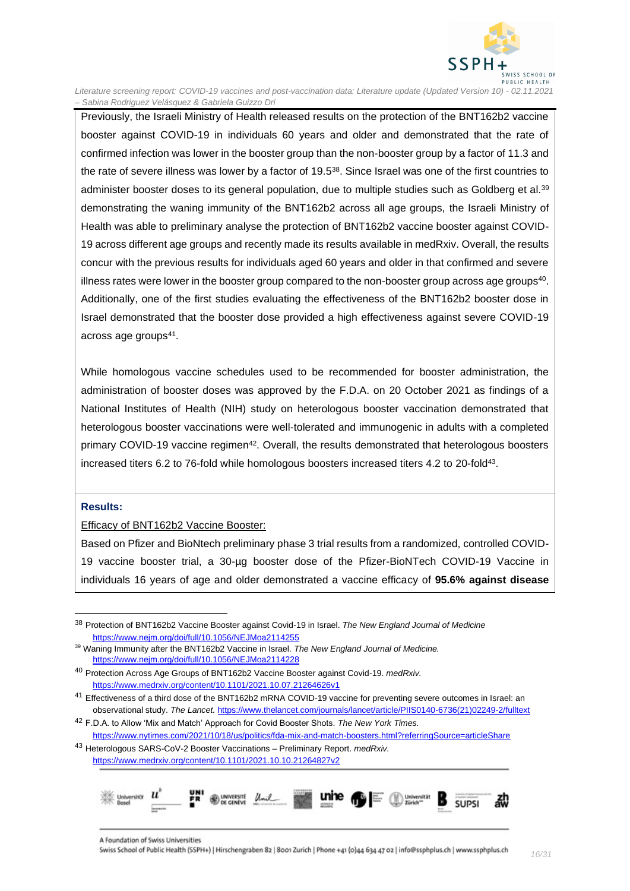

Previously, the Israeli Ministry of Health released results on the protection of the BNT162b2 vaccine booster against COVID-19 in individuals 60 years and older and demonstrated that the rate of confirmed infection was lower in the booster group than the non-booster group by a factor of 11.3 and the rate of severe illness was lower by a factor of 19.5<sup>38</sup>. Since Israel was one of the first countries to administer booster doses to its general population, due to multiple studies such as Goldberg et al.<sup>39</sup> demonstrating the waning immunity of the BNT162b2 across all age groups, the Israeli Ministry of Health was able to preliminary analyse the protection of BNT162b2 vaccine booster against COVID-19 across different age groups and recently made its results available in medRxiv. Overall, the results concur with the previous results for individuals aged 60 years and older in that confirmed and severe illness rates were lower in the booster group compared to the non-booster group across age groups $^{40}$ . Additionally, one of the first studies evaluating the effectiveness of the BNT162b2 booster dose in Israel demonstrated that the booster dose provided a high effectiveness against severe COVID-19 across age groups<sup>41</sup>.

While homologous vaccine schedules used to be recommended for booster administration, the administration of booster doses was approved by the F.D.A. on 20 October 2021 as findings of a National Institutes of Health (NIH) study on heterologous booster vaccination demonstrated that heterologous booster vaccinations were well-tolerated and immunogenic in adults with a completed primary COVID-19 vaccine regimen<sup>42</sup>. Overall, the results demonstrated that heterologous boosters increased titers 6.2 to 76-fold while homologous boosters increased titers 4.2 to 20-fold<sup>43</sup>.

#### **Results:**

#### Efficacy of BNT162b2 Vaccine Booster:

Based on Pfizer and BioNtech preliminary phase 3 trial results from a randomized, controlled COVID-19 vaccine booster trial, a 30-µg booster dose of the Pfizer-BioNTech COVID-19 Vaccine in individuals 16 years of age and older demonstrated a vaccine efficacy of **95.6% against disease**

<https://www.medrxiv.org/content/10.1101/2021.10.10.21264827v2>



<sup>38</sup> Protection of BNT162b2 Vaccine Booster against Covid-19 in Israel. *The New England Journal of Medicine*  <https://www.nejm.org/doi/full/10.1056/NEJMoa2114255>

<sup>39</sup> Waning Immunity after the BNT162b2 Vaccine in Israel. *The New England Journal of Medicine.*  <https://www.nejm.org/doi/full/10.1056/NEJMoa2114228>

<sup>40</sup> Protection Across Age Groups of BNT162b2 Vaccine Booster against Covid-19. *medRxiv.*  <https://www.medrxiv.org/content/10.1101/2021.10.07.21264626v1>

<sup>&</sup>lt;sup>41</sup> Effectiveness of a third dose of the BNT162b2 mRNA COVID-19 vaccine for preventing severe outcomes in Israel: an observational study. *The Lancet.* [https://www.thelancet.com/journals/lancet/article/PIIS0140-6736\(21\)02249-2/fulltext](https://www.thelancet.com/journals/lancet/article/PIIS0140-6736(21)02249-2/fulltext)

<sup>42</sup> F.D.A. to Allow 'Mix and Match' Approach for Covid Booster Shots. *The New York Times.*  <https://www.nytimes.com/2021/10/18/us/politics/fda-mix-and-match-boosters.html?referringSource=articleShare> <sup>43</sup> Heterologous SARS-CoV-2 Booster Vaccinations – Preliminary Report. *medRxiv.*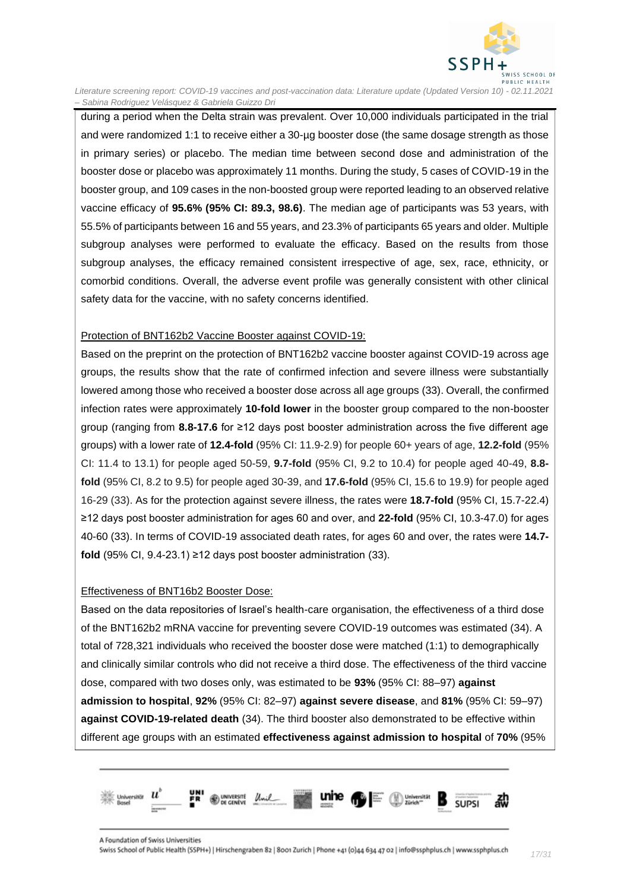

during a period when the Delta strain was prevalent. Over 10,000 individuals participated in the trial and were randomized 1:1 to receive either a 30-µg booster dose (the same dosage strength as those in primary series) or placebo. The median time between second dose and administration of the booster dose or placebo was approximately 11 months. During the study, 5 cases of COVID-19 in the booster group, and 109 cases in the non-boosted group were reported leading to an observed relative vaccine efficacy of **95.6% (95% CI: 89.3, 98.6)**. The median age of participants was 53 years, with 55.5% of participants between 16 and 55 years, and 23.3% of participants 65 years and older. Multiple subgroup analyses were performed to evaluate the efficacy. Based on the results from those subgroup analyses, the efficacy remained consistent irrespective of age, sex, race, ethnicity, or comorbid conditions. Overall, the adverse event profile was generally consistent with other clinical safety data for the vaccine, with no safety concerns identified.

#### Protection of BNT162b2 Vaccine Booster against COVID-19:

Based on the preprint on the protection of BNT162b2 vaccine booster against COVID-19 across age groups, the results show that the rate of confirmed infection and severe illness were substantially lowered among those who received a booster dose across all age groups (33). Overall, the confirmed infection rates were approximately **10-fold lower** in the booster group compared to the non-booster group (ranging from **8.8-17.6** for ≥12 days post booster administration across the five different age groups) with a lower rate of **12.4-fold** (95% CI: 11.9-2.9) for people 60+ years of age, **12.2-fold** (95% CI: 11.4 to 13.1) for people aged 50-59, **9.7-fold** (95% CI, 9.2 to 10.4) for people aged 40-49, **8.8 fold** (95% CI, 8.2 to 9.5) for people aged 30-39, and **17.6-fold** (95% CI, 15.6 to 19.9) for people aged 16-29 (33). As for the protection against severe illness, the rates were **18.7-fold** (95% CI, 15.7-22.4) ≥12 days post booster administration for ages 60 and over, and **22-fold** (95% CI, 10.3-47.0) for ages 40-60 (33). In terms of COVID-19 associated death rates, for ages 60 and over, the rates were **14.7 fold** (95% CI, 9.4-23.1) ≥12 days post booster administration (33).

#### Effectiveness of BNT16b2 Booster Dose:

Based on the data repositories of Israel's health-care organisation, the effectiveness of a third dose of the BNT162b2 mRNA vaccine for preventing severe COVID-19 outcomes was estimated (34). A total of 728,321 individuals who received the booster dose were matched (1:1) to demographically and clinically similar controls who did not receive a third dose. The effectiveness of the third vaccine dose, compared with two doses only, was estimated to be **93%** (95% CI: 88–97) **against admission to hospital**, **92%** (95% CI: 82–97) **against severe disease**, and **81%** (95% CI: 59–97) **against COVID-19-related death** (34). The third booster also demonstrated to be effective within different age groups with an estimated **effectiveness against admission to hospital** of **70%** (95%

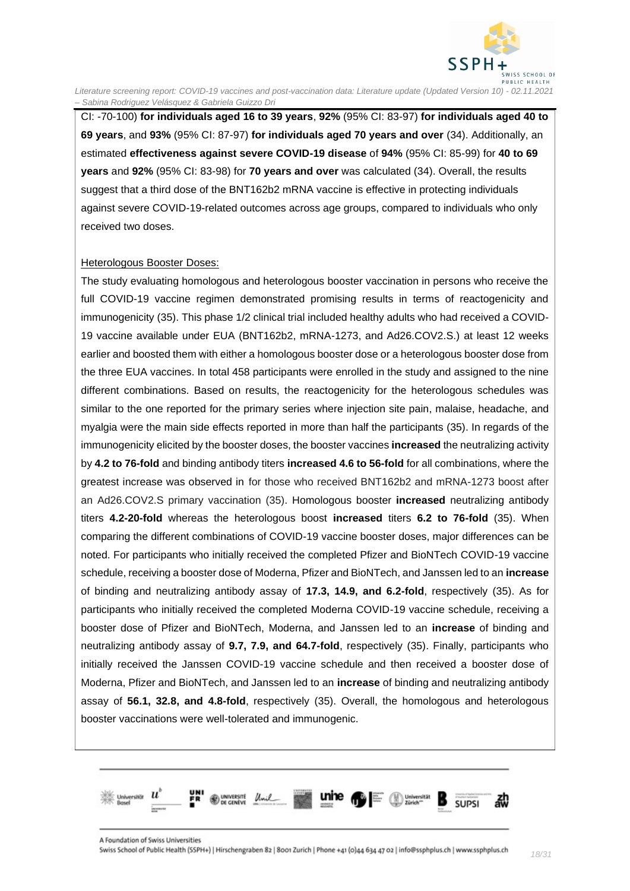

CI: -70-100) **for individuals aged 16 to 39 years**, **92%** (95% CI: 83-97) **for individuals aged 40 to 69 years**, and **93%** (95% CI: 87-97) **for individuals aged 70 years and over** (34). Additionally, an estimated **effectiveness against severe COVID-19 disease** of **94%** (95% CI: 85-99) for **40 to 69 years** and **92%** (95% CI: 83-98) for **70 years and over** was calculated (34). Overall, the results suggest that a third dose of the BNT162b2 mRNA vaccine is effective in protecting individuals against severe COVID-19-related outcomes across age groups, compared to individuals who only received two doses.

#### Heterologous Booster Doses:

The study evaluating homologous and heterologous booster vaccination in persons who receive the full COVID-19 vaccine regimen demonstrated promising results in terms of reactogenicity and immunogenicity (35). This phase 1/2 clinical trial included healthy adults who had received a COVID-19 vaccine available under EUA (BNT162b2, mRNA-1273, and Ad26.COV2.S.) at least 12 weeks earlier and boosted them with either a homologous booster dose or a heterologous booster dose from the three EUA vaccines. In total 458 participants were enrolled in the study and assigned to the nine different combinations. Based on results, the reactogenicity for the heterologous schedules was similar to the one reported for the primary series where injection site pain, malaise, headache, and myalgia were the main side effects reported in more than half the participants (35). In regards of the immunogenicity elicited by the booster doses, the booster vaccines **increased** the neutralizing activity by **4.2 to 76-fold** and binding antibody titers **increased 4.6 to 56-fold** for all combinations, where the greatest increase was observed in for those who received BNT162b2 and mRNA-1273 boost after an Ad26.COV2.S primary vaccination (35). Homologous booster **increased** neutralizing antibody titers **4.2-20-fold** whereas the heterologous boost **increased** titers **6.2 to 76-fold** (35). When comparing the different combinations of COVID-19 vaccine booster doses, major differences can be noted. For participants who initially received the completed Pfizer and BioNTech COVID-19 vaccine schedule, receiving a booster dose of Moderna, Pfizer and BioNTech, and Janssen led to an **increase** of binding and neutralizing antibody assay of **17.3, 14.9, and 6.2-fold**, respectively (35). As for participants who initially received the completed Moderna COVID-19 vaccine schedule, receiving a booster dose of Pfizer and BioNTech, Moderna, and Janssen led to an **increase** of binding and neutralizing antibody assay of **9.7, 7.9, and 64.7-fold**, respectively (35). Finally, participants who initially received the Janssen COVID-19 vaccine schedule and then received a booster dose of Moderna, Pfizer and BioNTech, and Janssen led to an **increase** of binding and neutralizing antibody assay of **56.1, 32.8, and 4.8-fold**, respectively (35). Overall, the homologous and heterologous booster vaccinations were well-tolerated and immunogenic.

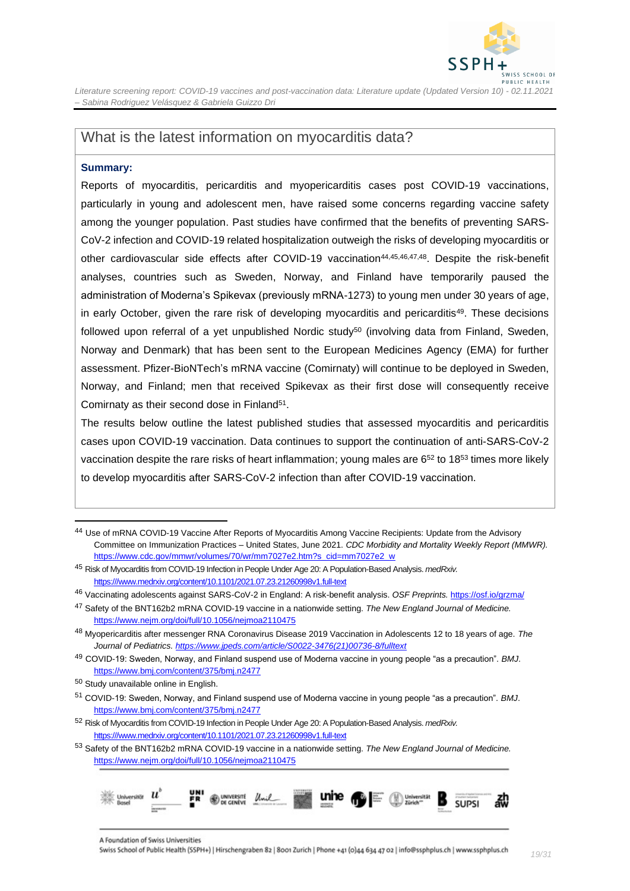

### <span id="page-18-0"></span>What is the latest information on myocarditis data?

#### **Summary:**

Reports of myocarditis, pericarditis and myopericarditis cases post COVID-19 vaccinations, particularly in young and adolescent men, have raised some concerns regarding vaccine safety among the younger population. Past studies have confirmed that the benefits of preventing SARS-CoV-2 infection and COVID-19 related hospitalization outweigh the risks of developing myocarditis or other cardiovascular side effects after COVID-19 vaccination<sup>44,45,46,47,48</sup>. Despite the risk-benefit analyses, countries such as Sweden, Norway, and Finland have temporarily paused the administration of Moderna's Spikevax (previously mRNA-1273) to young men under 30 years of age, in early October, given the rare risk of developing myocarditis and pericarditis<sup>49</sup>. These decisions followed upon referral of a yet unpublished Nordic study<sup>50</sup> (involving data from Finland, Sweden, Norway and Denmark) that has been sent to the European Medicines Agency (EMA) for further assessment. Pfizer-BioNTech's mRNA vaccine (Comirnaty) will continue to be deployed in Sweden, Norway, and Finland; men that received Spikevax as their first dose will consequently receive Comirnaty as their second dose in Finland<sup>51</sup>.

The results below outline the latest published studies that assessed myocarditis and pericarditis cases upon COVID-19 vaccination. Data continues to support the continuation of anti-SARS-CoV-2 vaccination despite the rare risks of heart inflammation; young males are  $6^{52}$  to 18 $^{53}$  times more likely to develop myocarditis after SARS-CoV-2 infection than after COVID-19 vaccination.

<sup>53</sup> Safety of the BNT162b2 mRNA COVID-19 vaccine in a nationwide setting. *The New England Journal of Medicine.* <https://www.nejm.org/doi/full/10.1056/nejmoa2110475>



<sup>44</sup> Use of mRNA COVID-19 Vaccine After Reports of Myocarditis Among Vaccine Recipients: Update from the Advisory Committee on Immunization Practices – United States, June 2021. *CDC Morbidity and Mortality Weekly Report (MMWR).*  [https://www.cdc.gov/mmwr/volumes/70/wr/mm7027e2.htm?s\\_cid=mm7027e2\\_w](https://www.cdc.gov/mmwr/volumes/70/wr/mm7027e2.htm?s_cid=mm7027e2_w)

<sup>45</sup> Risk of Myocarditis from COVID-19 Infection in People Under Age 20: A Population-Based Analysis. *medRxiv.* [https:///www.medrxiv.org/content/10.1101/2021.07.23.21260998v1.full-text](https://www.medrxiv.org/content/10.1101/2021.07.23.21260998v1.full-text)

<sup>46</sup> Vaccinating adolescents against SARS-CoV-2 in England: A risk-benefit analysis. *OSF Preprints.* <https://osf.io/grzma/>

<sup>47</sup> Safety of the BNT162b2 mRNA COVID-19 vaccine in a nationwide setting. *The New England Journal of Medicine.* <https://www.nejm.org/doi/full/10.1056/nejmoa2110475>

<sup>48</sup> Myopericarditis after messenger RNA Coronavirus Disease 2019 Vaccination in Adolescents 12 to 18 years of age. *The Journal of Pediatrics. [https://www.jpeds.com/article/S0022-3476\(21\)00736-8/fulltext](https://www.jpeds.com/article/S0022-3476(21)00736-8/fulltext)*

<sup>49</sup> COVID-19: Sweden, Norway, and Finland suspend use of Moderna vaccine in young people "as a precaution". *BMJ*. <https://www.bmj.com/content/375/bmj.n2477>

<sup>50</sup> Study unavailable online in English.

<sup>51</sup> COVID-19: Sweden, Norway, and Finland suspend use of Moderna vaccine in young people "as a precaution". *BMJ*. <https://www.bmj.com/content/375/bmj.n2477>

<sup>52</sup> Risk of Myocarditis from COVID-19 Infection in People Under Age 20: A Population-Based Analysis. *medRxiv.* [https:///www.medrxiv.org/content/10.1101/2021.07.23.21260998v1.full-text](https://www.medrxiv.org/content/10.1101/2021.07.23.21260998v1.full-text)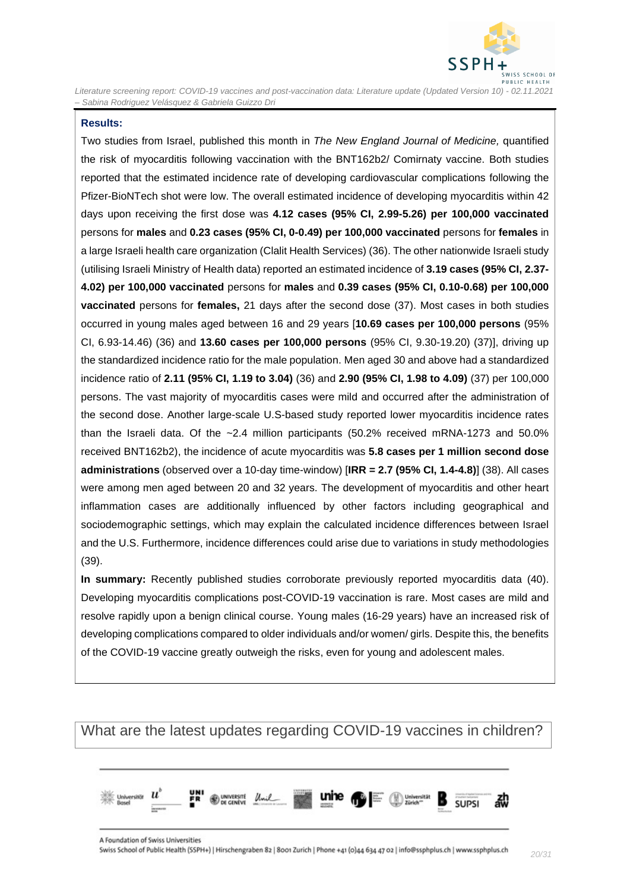

#### **Results:**

Two studies from Israel, published this month in *The New England Journal of Medicine,* quantified the risk of myocarditis following vaccination with the BNT162b2/ Comirnaty vaccine. Both studies reported that the estimated incidence rate of developing cardiovascular complications following the Pfizer-BioNTech shot were low. The overall estimated incidence of developing myocarditis within 42 days upon receiving the first dose was **4.12 cases (95% CI, 2.99-5.26) per 100,000 vaccinated** persons for **males** and **0.23 cases (95% CI, 0-0.49) per 100,000 vaccinated** persons for **females** in a large Israeli health care organization (Clalit Health Services) (36). The other nationwide Israeli study (utilising Israeli Ministry of Health data) reported an estimated incidence of **3.19 cases (95% CI, 2.37- 4.02) per 100,000 vaccinated** persons for **males** and **0.39 cases (95% CI, 0.10-0.68) per 100,000 vaccinated** persons for **females,** 21 days after the second dose (37). Most cases in both studies occurred in young males aged between 16 and 29 years [**10.69 cases per 100,000 persons** (95% CI, 6.93-14.46) (36) and **13.60 cases per 100,000 persons** (95% CI, 9.30-19.20) (37)], driving up the standardized incidence ratio for the male population. Men aged 30 and above had a standardized incidence ratio of **2.11 (95% CI, 1.19 to 3.04)** (36) and **2.90 (95% CI, 1.98 to 4.09)** (37) per 100,000 persons. The vast majority of myocarditis cases were mild and occurred after the administration of the second dose. Another large-scale U.S-based study reported lower myocarditis incidence rates than the Israeli data. Of the ~2.4 million participants (50.2% received mRNA-1273 and 50.0% received BNT162b2), the incidence of acute myocarditis was **5.8 cases per 1 million second dose administrations** (observed over a 10-day time-window) [**IRR = 2.7 (95% CI, 1.4-4.8)**] (38). All cases were among men aged between 20 and 32 years. The development of myocarditis and other heart inflammation cases are additionally influenced by other factors including geographical and sociodemographic settings, which may explain the calculated incidence differences between Israel and the U.S. Furthermore, incidence differences could arise due to variations in study methodologies (39).

**In summary:** Recently published studies corroborate previously reported myocarditis data (40). Developing myocarditis complications post-COVID-19 vaccination is rare. Most cases are mild and resolve rapidly upon a benign clinical course. Young males (16-29 years) have an increased risk of developing complications compared to older individuals and/or women/ girls. Despite this, the benefits of the COVID-19 vaccine greatly outweigh the risks, even for young and adolescent males.

### <span id="page-19-0"></span>What are the latest updates regarding COVID-19 vaccines in children?

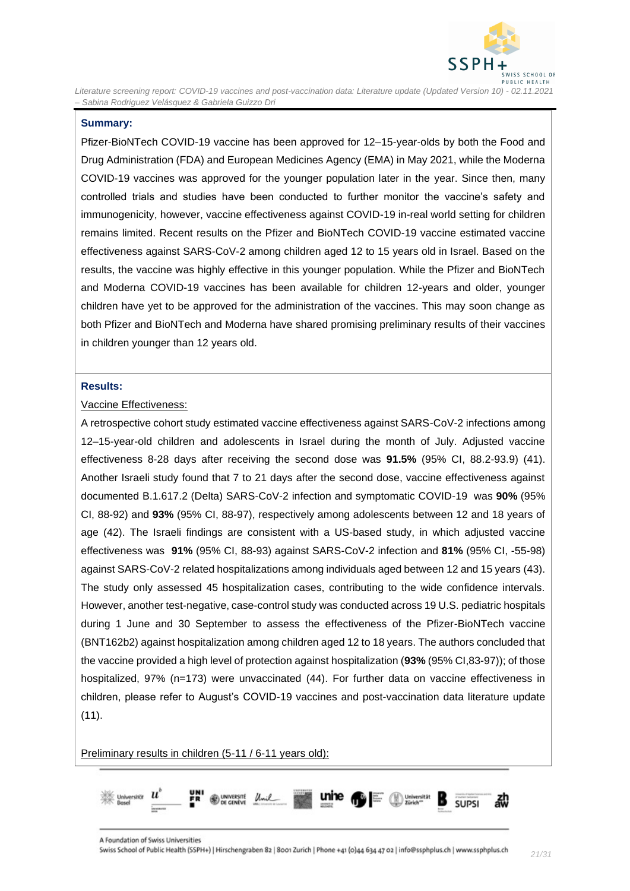

#### **Summary:**

Pfizer-BioNTech COVID-19 vaccine has been approved for 12–15-year-olds by both the Food and Drug Administration (FDA) and European Medicines Agency (EMA) in May 2021, while the Moderna COVID-19 vaccines was approved for the younger population later in the year. Since then, many controlled trials and studies have been conducted to further monitor the vaccine's safety and immunogenicity, however, vaccine effectiveness against COVID-19 in-real world setting for children remains limited. Recent results on the Pfizer and BioNTech COVID-19 vaccine estimated vaccine effectiveness against SARS-CoV-2 among children aged 12 to 15 years old in Israel. Based on the results, the vaccine was highly effective in this younger population. While the Pfizer and BioNTech and Moderna COVID-19 vaccines has been available for children 12-years and older, younger children have yet to be approved for the administration of the vaccines. This may soon change as both Pfizer and BioNTech and Moderna have shared promising preliminary results of their vaccines in children younger than 12 years old.

#### **Results:**

#### Vaccine Effectiveness:

A retrospective cohort study estimated vaccine effectiveness against SARS-CoV-2 infections among 12–15-year-old children and adolescents in Israel during the month of July. Adjusted vaccine effectiveness 8-28 days after receiving the second dose was **91.5%** (95% CI, 88.2-93.9) (41). Another Israeli study found that 7 to 21 days after the second dose, vaccine effectiveness against documented B.1.617.2 (Delta) SARS-CoV-2 infection and symptomatic COVID-19 was **90%** (95% CI, 88-92) and **93%** (95% CI, 88-97), respectively among adolescents between 12 and 18 years of age (42). The Israeli findings are consistent with a US-based study, in which adjusted vaccine effectiveness was **91%** (95% CI, 88-93) against SARS-CoV-2 infection and **81%** (95% CI, -55-98) against SARS-CoV-2 related hospitalizations among individuals aged between 12 and 15 years (43). The study only assessed 45 hospitalization cases, contributing to the wide confidence intervals. However, another test-negative, case-control study was conducted across 19 U.S. pediatric hospitals during 1 June and 30 September to assess the effectiveness of the Pfizer-BioNTech vaccine (BNT162b2) against hospitalization among children aged 12 to 18 years. The authors concluded that the vaccine provided a high level of protection against hospitalization (**93%** (95% CI,83-97)); of those hospitalized, 97% (n=173) were unvaccinated (44). For further data on vaccine effectiveness in children, please refer to August's COVID-19 vaccines and post-vaccination data literature update  $(11)$ .

Preliminary results in children (5-11 / 6-11 years old):

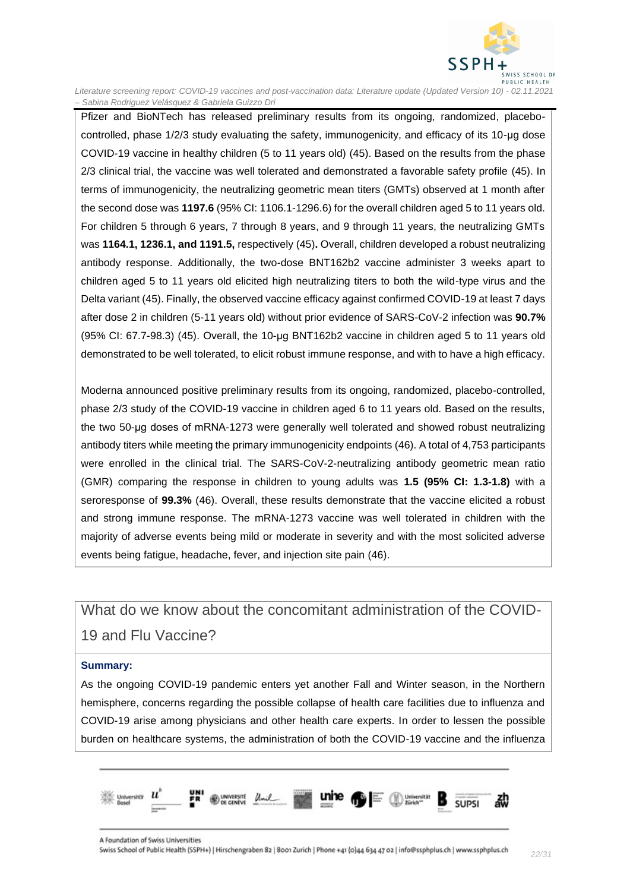

Pfizer and BioNTech has released preliminary results from its ongoing, randomized, placebocontrolled, phase 1/2/3 study evaluating the safety, immunogenicity, and efficacy of its 10-μg dose COVID-19 vaccine in healthy children (5 to 11 years old) (45). Based on the results from the phase 2/3 clinical trial, the vaccine was well tolerated and demonstrated a favorable safety profile (45). In terms of immunogenicity, the neutralizing geometric mean titers (GMTs) observed at 1 month after the second dose was **1197.6** (95% CI: 1106.1-1296.6) for the overall children aged 5 to 11 years old. For children 5 through 6 years, 7 through 8 years, and 9 through 11 years, the neutralizing GMTs was **1164.1, 1236.1, and 1191.5,** respectively (45)**.** Overall, children developed a robust neutralizing antibody response. Additionally, the two-dose BNT162b2 vaccine administer 3 weeks apart to children aged 5 to 11 years old elicited high neutralizing titers to both the wild-type virus and the Delta variant (45). Finally, the observed vaccine efficacy against confirmed COVID-19 at least 7 days after dose 2 in children (5-11 years old) without prior evidence of SARS-CoV-2 infection was **90.7%**  (95% CI: 67.7-98.3) (45). Overall, the 10-μg BNT162b2 vaccine in children aged 5 to 11 years old demonstrated to be well tolerated, to elicit robust immune response, and with to have a high efficacy.

Moderna announced positive preliminary results from its ongoing, randomized, placebo-controlled, phase 2/3 study of the COVID-19 vaccine in children aged 6 to 11 years old. Based on the results, the two 50-μg doses of mRNA-1273 were generally well tolerated and showed robust neutralizing antibody titers while meeting the primary immunogenicity endpoints (46). A total of 4,753 participants were enrolled in the clinical trial. The SARS-CoV-2-neutralizing antibody geometric mean ratio (GMR) comparing the response in children to young adults was **1.5 (95% CI: 1.3-1.8)** with a seroresponse of **99.3%** (46). Overall, these results demonstrate that the vaccine elicited a robust and strong immune response. The mRNA-1273 vaccine was well tolerated in children with the majority of adverse events being mild or moderate in severity and with the most solicited adverse events being fatigue, headache, fever, and injection site pain (46).

<span id="page-21-0"></span>What do we know about the concomitant administration of the COVID-19 and Flu Vaccine?

#### **Summary:**

As the ongoing COVID-19 pandemic enters yet another Fall and Winter season, in the Northern hemisphere, concerns regarding the possible collapse of health care facilities due to influenza and COVID-19 arise among physicians and other health care experts. In order to lessen the possible burden on healthcare systems, the administration of both the COVID-19 vaccine and the influenza

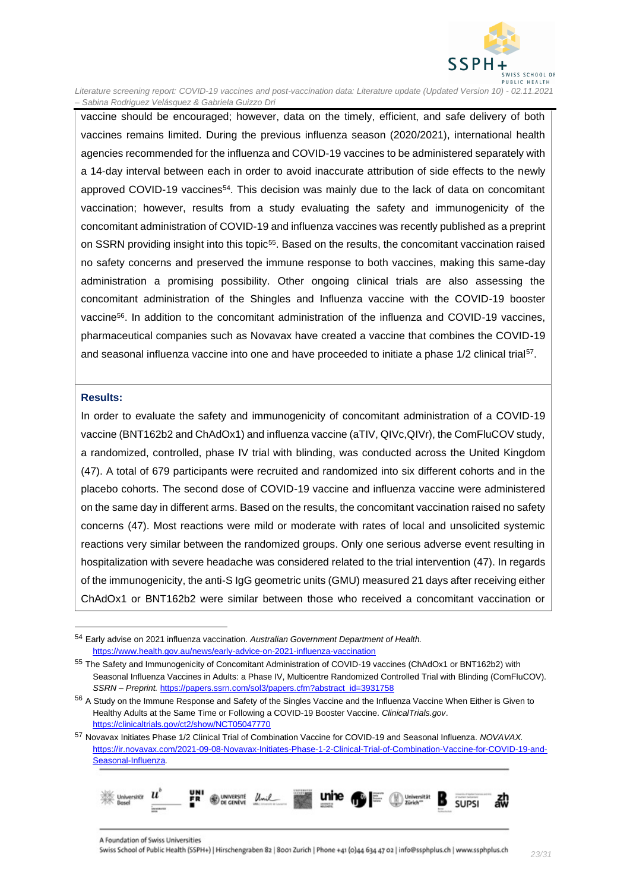

vaccine should be encouraged; however, data on the timely, efficient, and safe delivery of both vaccines remains limited. During the previous influenza season (2020/2021), international health agencies recommended for the influenza and COVID-19 vaccines to be administered separately with a 14-day interval between each in order to avoid inaccurate attribution of side effects to the newly approved COVID-19 vaccines<sup>54</sup>. This decision was mainly due to the lack of data on concomitant vaccination; however, results from a study evaluating the safety and immunogenicity of the concomitant administration of COVID-19 and influenza vaccines was recently published as a preprint on SSRN providing insight into this topic<sup>55</sup>. Based on the results, the concomitant vaccination raised no safety concerns and preserved the immune response to both vaccines, making this same-day administration a promising possibility. Other ongoing clinical trials are also assessing the concomitant administration of the Shingles and Influenza vaccine with the COVID-19 booster vaccine<sup>56</sup>. In addition to the concomitant administration of the influenza and COVID-19 vaccines, pharmaceutical companies such as Novavax have created a vaccine that combines the COVID-19 and seasonal influenza vaccine into one and have proceeded to initiate a phase 1/2 clinical trial<sup>57</sup>.

#### **Results:**

In order to evaluate the safety and immunogenicity of concomitant administration of a COVID-19 vaccine (BNT162b2 and ChAdOx1) and influenza vaccine (aTIV, QIVc,QIVr), the ComFluCOV study, a randomized, controlled, phase IV trial with blinding, was conducted across the United Kingdom (47). A total of 679 participants were recruited and randomized into six different cohorts and in the placebo cohorts. The second dose of COVID-19 vaccine and influenza vaccine were administered on the same day in different arms. Based on the results, the concomitant vaccination raised no safety concerns (47). Most reactions were mild or moderate with rates of local and unsolicited systemic reactions very similar between the randomized groups. Only one serious adverse event resulting in hospitalization with severe headache was considered related to the trial intervention (47). In regards of the immunogenicity, the anti-S IgG geometric units (GMU) measured 21 days after receiving either ChAdOx1 or BNT162b2 were similar between those who received a concomitant vaccination or

<sup>57</sup> Novavax Initiates Phase 1/2 Clinical Trial of Combination Vaccine for COVID-19 and Seasonal Influenza. *NOVAVAX.*  [https://ir.novavax.com/2021-09-08-Novavax-Initiates-Phase-1-2-Clinical-Trial-of-Combination-Vaccine-for-COVID-19-and-](https://ir.novavax.com/2021-09-08-Novavax-Initiates-Phase-1-2-Clinical-Trial-of-Combination-Vaccine-for-COVID-19-and-Seasonal-Influenza)[Seasonal-Influenza](https://ir.novavax.com/2021-09-08-Novavax-Initiates-Phase-1-2-Clinical-Trial-of-Combination-Vaccine-for-COVID-19-and-Seasonal-Influenza)*.*



<sup>54</sup> Early advise on 2021 influenza vaccination. *Australian Government Department of Health.* <https://www.health.gov.au/news/early-advice-on-2021-influenza-vaccination>

<sup>55</sup> The Safety and Immunogenicity of Concomitant Administration of COVID-19 vaccines (ChAdOx1 or BNT162b2) with Seasonal Influenza Vaccines in Adults: a Phase IV, Multicentre Randomized Controlled Trial with Blinding (ComFluCOV). *SSRN – Preprint.* [https://papers.ssrn.com/sol3/papers.cfm?abstract\\_id=3931758](https://papers.ssrn.com/sol3/papers.cfm?abstract_id=3931758)

<sup>&</sup>lt;sup>56</sup> A Study on the Immune Response and Safety of the Singles Vaccine and the Influenza Vaccine When Either is Given to Healthy Adults at the Same Time or Following a COVID-19 Booster Vaccine. *ClinicalTrials.gov*. <https://clinicaltrials.gov/ct2/show/NCT05047770>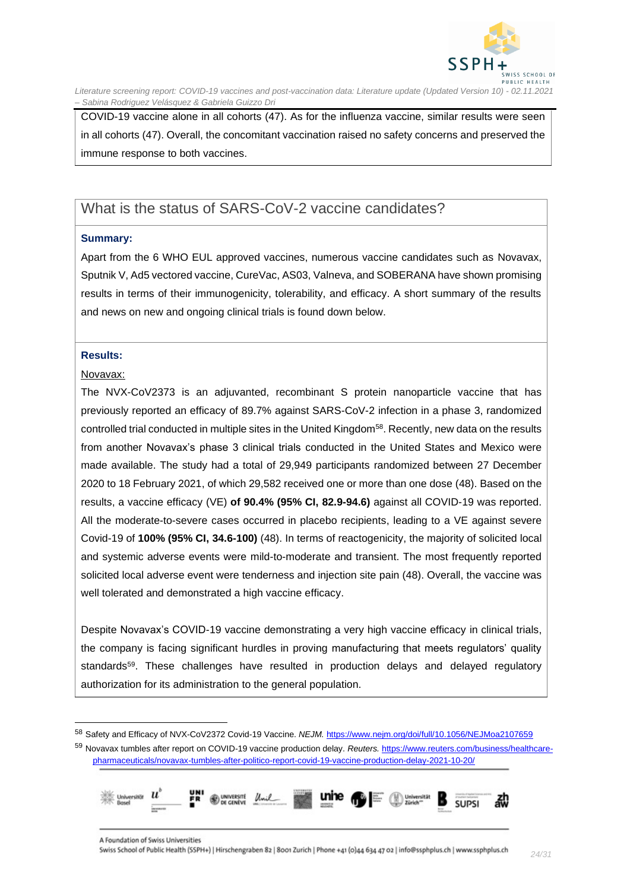

COVID-19 vaccine alone in all cohorts (47). As for the influenza vaccine, similar results were seen in all cohorts (47). Overall, the concomitant vaccination raised no safety concerns and preserved the immune response to both vaccines.

### <span id="page-23-0"></span>What is the status of SARS-CoV-2 vaccine candidates?

#### **Summary:**

Apart from the 6 WHO EUL approved vaccines, numerous vaccine candidates such as Novavax, Sputnik V, Ad5 vectored vaccine, CureVac, AS03, Valneva, and SOBERANA have shown promising results in terms of their immunogenicity, tolerability, and efficacy. A short summary of the results and news on new and ongoing clinical trials is found down below.

#### **Results:**

#### Novavax:

The NVX-CoV2373 is an adjuvanted, recombinant S protein nanoparticle vaccine that has previously reported an efficacy of 89.7% against SARS-CoV-2 infection in a phase 3, randomized controlled trial conducted in multiple sites in the United Kingdom<sup>58</sup>. Recently, new data on the results from another Novavax's phase 3 clinical trials conducted in the United States and Mexico were made available. The study had a total of 29,949 participants randomized between 27 December 2020 to 18 February 2021, of which 29,582 received one or more than one dose (48). Based on the results, a vaccine efficacy (VE) **of 90.4% (95% CI, 82.9-94.6)** against all COVID-19 was reported. All the moderate-to-severe cases occurred in placebo recipients, leading to a VE against severe Covid-19 of **100% (95% CI, 34.6-100)** (48). In terms of reactogenicity, the majority of solicited local and systemic adverse events were mild-to-moderate and transient. The most frequently reported solicited local adverse event were tenderness and injection site pain (48). Overall, the vaccine was well tolerated and demonstrated a high vaccine efficacy.

Despite Novavax's COVID-19 vaccine demonstrating a very high vaccine efficacy in clinical trials, the company is facing significant hurdles in proving manufacturing that meets regulators' quality standards<sup>59</sup>. These challenges have resulted in production delays and delayed regulatory authorization for its administration to the general population.

<sup>59</sup> Novavax tumbles after report on COVID-19 vaccine production delay. *Reuters.* [https://www.reuters.com/business/healthcare](https://www.reuters.com/business/healthcare-pharmaceuticals/novavax-tumbles-after-politico-report-covid-19-vaccine-production-delay-2021-10-20/)[pharmaceuticals/novavax-tumbles-after-politico-report-covid-19-vaccine-production-delay-2021-10-20/](https://www.reuters.com/business/healthcare-pharmaceuticals/novavax-tumbles-after-politico-report-covid-19-vaccine-production-delay-2021-10-20/)



<sup>58</sup> Safety and Efficacy of NVX-CoV2372 Covid-19 Vaccine. *NEJM.* <https://www.nejm.org/doi/full/10.1056/NEJMoa2107659>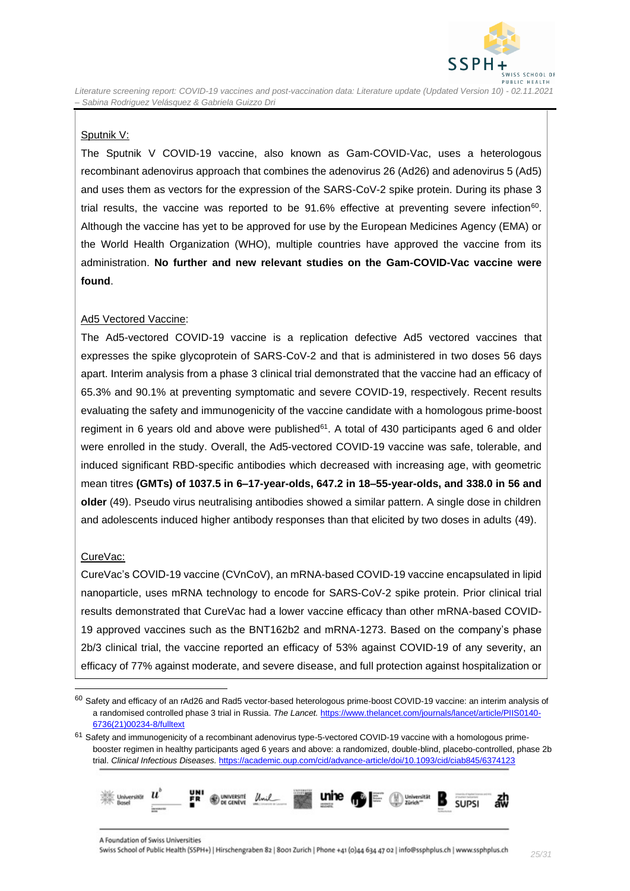

#### Sputnik V:

The Sputnik V COVID-19 vaccine, also known as Gam-COVID-Vac, uses a heterologous recombinant adenovirus approach that combines the adenovirus 26 (Ad26) and adenovirus 5 (Ad5) and uses them as vectors for the expression of the SARS-CoV-2 spike protein. During its phase 3 trial results, the vaccine was reported to be 91.6% effective at preventing severe infection<sup>60</sup>. Although the vaccine has yet to be approved for use by the European Medicines Agency (EMA) or the World Health Organization (WHO), multiple countries have approved the vaccine from its administration. **No further and new relevant studies on the Gam-COVID-Vac vaccine were found**.

#### Ad5 Vectored Vaccine:

The Ad5-vectored COVID-19 vaccine is a replication defective Ad5 vectored vaccines that expresses the spike glycoprotein of SARS-CoV-2 and that is administered in two doses 56 days apart. Interim analysis from a phase 3 clinical trial demonstrated that the vaccine had an efficacy of 65.3% and 90.1% at preventing symptomatic and severe COVID-19, respectively. Recent results evaluating the safety and immunogenicity of the vaccine candidate with a homologous prime-boost regiment in 6 years old and above were published<sup>61</sup>. A total of 430 participants aged 6 and older were enrolled in the study. Overall, the Ad5-vectored COVID-19 vaccine was safe, tolerable, and induced significant RBD-specific antibodies which decreased with increasing age, with geometric mean titres **(GMTs) of 1037.5 in 6–17-year-olds, 647.2 in 18–55-year-olds, and 338.0 in 56 and older** (49). Pseudo virus neutralising antibodies showed a similar pattern. A single dose in children and adolescents induced higher antibody responses than that elicited by two doses in adults (49).

#### CureVac:

CureVac's COVID-19 vaccine (CVnCoV), an mRNA-based COVID-19 vaccine encapsulated in lipid nanoparticle, uses mRNA technology to encode for SARS-CoV-2 spike protein. Prior clinical trial results demonstrated that CureVac had a lower vaccine efficacy than other mRNA-based COVID-19 approved vaccines such as the BNT162b2 and mRNA-1273. Based on the company's phase 2b/3 clinical trial, the vaccine reported an efficacy of 53% against COVID-19 of any severity, an efficacy of 77% against moderate, and severe disease, and full protection against hospitalization or

<sup>&</sup>lt;sup>61</sup> Safety and immunogenicity of a recombinant adenovirus type-5-vectored COVID-19 vaccine with a homologous primebooster regimen in healthy participants aged 6 years and above: a randomized, double-blind, placebo-controlled, phase 2b trial. *Clinical Infectious Diseases.* <https://academic.oup.com/cid/advance-article/doi/10.1093/cid/ciab845/6374123>



<sup>60</sup> Safety and efficacy of an rAd26 and Rad5 vector-based heterologous prime-boost COVID-19 vaccine: an interim analysis of a randomised controlled phase 3 trial in Russia. *The Lancet.* [https://www.thelancet.com/journals/lancet/article/PIIS0140-](https://www.thelancet.com/journals/lancet/article/PIIS0140-6736(21)00234-8/fulltext) [6736\(21\)00234-8/fulltext](https://www.thelancet.com/journals/lancet/article/PIIS0140-6736(21)00234-8/fulltext)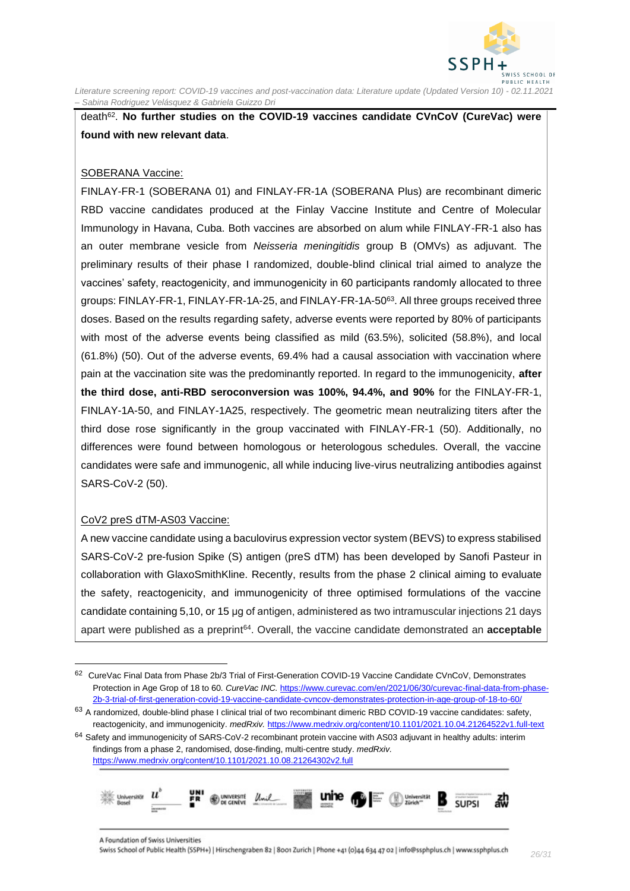

death<sup>62</sup>. No further studies on the COVID-19 vaccines candidate CVnCoV (CureVac) were **found with new relevant data**.

#### SOBERANA Vaccine:

FINLAY-FR-1 (SOBERANA 01) and FINLAY-FR-1A (SOBERANA Plus) are recombinant dimeric RBD vaccine candidates produced at the Finlay Vaccine Institute and Centre of Molecular Immunology in Havana, Cuba. Both vaccines are absorbed on alum while FINLAY-FR-1 also has an outer membrane vesicle from *Neisseria meningitidis* group B (OMVs) as adjuvant. The preliminary results of their phase I randomized, double-blind clinical trial aimed to analyze the vaccines' safety, reactogenicity, and immunogenicity in 60 participants randomly allocated to three groups: FINLAY-FR-1, FINLAY-FR-1A-25, and FINLAY-FR-1A-50<sup>63</sup>. All three groups received three doses. Based on the results regarding safety, adverse events were reported by 80% of participants with most of the adverse events being classified as mild (63.5%), solicited (58.8%), and local (61.8%) (50). Out of the adverse events, 69.4% had a causal association with vaccination where pain at the vaccination site was the predominantly reported. In regard to the immunogenicity, **after the third dose, anti-RBD seroconversion was 100%, 94.4%, and 90%** for the FINLAY-FR-1, FINLAY-1A-50, and FINLAY-1A25, respectively. The geometric mean neutralizing titers after the third dose rose significantly in the group vaccinated with FINLAY-FR-1 (50). Additionally, no differences were found between homologous or heterologous schedules. Overall, the vaccine candidates were safe and immunogenic, all while inducing live-virus neutralizing antibodies against SARS-CoV-2 (50).

#### CoV2 preS dTM-AS03 Vaccine:

A new vaccine candidate using a baculovirus expression vector system (BEVS) to express stabilised SARS-CoV-2 pre-fusion Spike (S) antigen (preS dTM) has been developed by Sanofi Pasteur in collaboration with GlaxoSmithKline. Recently, results from the phase 2 clinical aiming to evaluate the safety, reactogenicity, and immunogenicity of three optimised formulations of the vaccine candidate containing 5,10, or 15 μg of antigen, administered as two intramuscular injections 21 days apart were published as a preprint<sup>64</sup>. Overall, the vaccine candidate demonstrated an **acceptable** 

 $64$  Safety and immunogenicity of SARS-CoV-2 recombinant protein vaccine with AS03 adjuvant in healthy adults: interim findings from a phase 2, randomised, dose-finding, multi-centre study. *medRxiv.* <https://www.medrxiv.org/content/10.1101/2021.10.08.21264302v2.full>



<sup>62</sup> CureVac Final Data from Phase 2b/3 Trial of First-Generation COVID-19 Vaccine Candidate CVnCoV, Demonstrates Protection in Age Grop of 18 to 60. *CureVac INC.* [https://www.curevac.com/en/2021/06/30/curevac-final-data-from-phase-](https://www.curevac.com/en/2021/06/30/curevac-final-data-from-phase-2b-3-trial-of-first-generation-covid-19-vaccine-candidate-cvncov-demonstrates-protection-in-age-group-of-18-to-60/)[2b-3-trial-of-first-generation-covid-19-vaccine-candidate-cvncov-demonstrates-protection-in-age-group-of-18-to-60/](https://www.curevac.com/en/2021/06/30/curevac-final-data-from-phase-2b-3-trial-of-first-generation-covid-19-vaccine-candidate-cvncov-demonstrates-protection-in-age-group-of-18-to-60/)

<sup>63</sup> A randomized, double-blind phase I clinical trial of two recombinant dimeric RBD COVID-19 vaccine candidates: safety, reactogenicity, and immunogenicity. *medRxiv.* <https://www.medrxiv.org/content/10.1101/2021.10.04.21264522v1.full-text>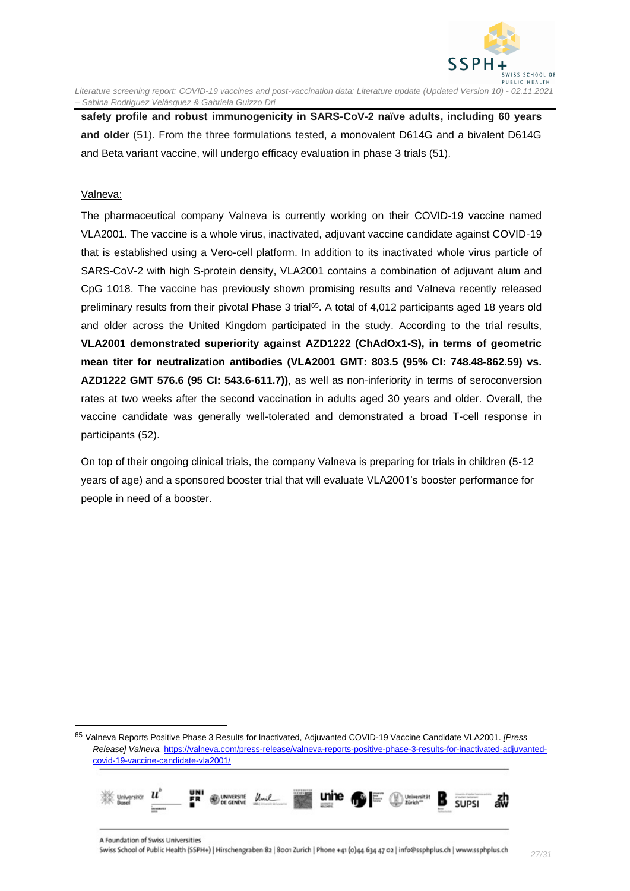

**safety profile and robust immunogenicity in SARS-CoV-2 naïve adults, including 60 years and older** (51). From the three formulations tested, a monovalent D614G and a bivalent D614G and Beta variant vaccine, will undergo efficacy evaluation in phase 3 trials (51).

#### Valneva:

The pharmaceutical company Valneva is currently working on their COVID-19 vaccine named VLA2001. The vaccine is a whole virus, inactivated, adjuvant vaccine candidate against COVID-19 that is established using a Vero-cell platform. In addition to its inactivated whole virus particle of SARS-CoV-2 with high S-protein density, VLA2001 contains a combination of adjuvant alum and CpG 1018. The vaccine has previously shown promising results and Valneva recently released preliminary results from their pivotal Phase 3 trial<sup>65</sup>. A total of 4,012 participants aged 18 years old and older across the United Kingdom participated in the study. According to the trial results, **VLA2001 demonstrated superiority against AZD1222 (ChAdOx1-S), in terms of geometric mean titer for neutralization antibodies (VLA2001 GMT: 803.5 (95% CI: 748.48-862.59) vs. AZD1222 GMT 576.6 (95 CI: 543.6-611.7))**, as well as non-inferiority in terms of seroconversion rates at two weeks after the second vaccination in adults aged 30 years and older. Overall, the vaccine candidate was generally well-tolerated and demonstrated a broad T-cell response in participants (52).

On top of their ongoing clinical trials, the company Valneva is preparing for trials in children (5-12 years of age) and a sponsored booster trial that will evaluate VLA2001's booster performance for people in need of a booster.

<sup>65</sup> Valneva Reports Positive Phase 3 Results for Inactivated, Adjuvanted COVID-19 Vaccine Candidate VLA2001. *[Press Release] Valneva.* [https://valneva.com/press-release/valneva-reports-positive-phase-3-results-for-inactivated-adjuvanted](https://valneva.com/press-release/valneva-reports-positive-phase-3-results-for-inactivated-adjuvanted-covid-19-vaccine-candidate-vla2001/)[covid-19-vaccine-candidate-vla2001/](https://valneva.com/press-release/valneva-reports-positive-phase-3-results-for-inactivated-adjuvanted-covid-19-vaccine-candidate-vla2001/)

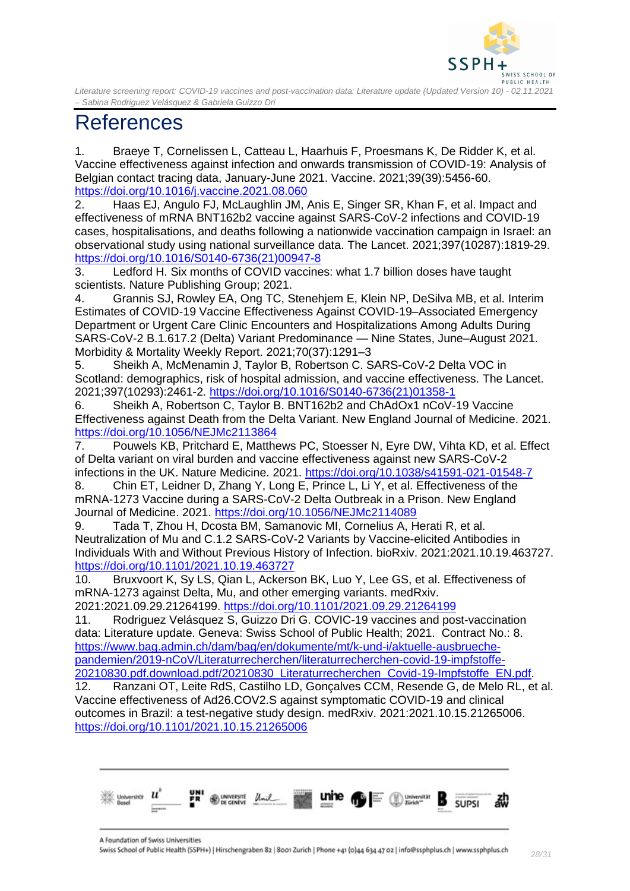

## <span id="page-27-0"></span>References

1. Braeye T, Cornelissen L, Catteau L, Haarhuis F, Proesmans K, De Ridder K, et al. Vaccine effectiveness against infection and onwards transmission of COVID-19: Analysis of Belgian contact tracing data, January-June 2021. Vaccine. 2021;39(39):5456-60. <https://doi.org/10.1016/j.vaccine.2021.08.060>

2. Haas EJ, Angulo FJ, McLaughlin JM, Anis E, Singer SR, Khan F, et al. Impact and effectiveness of mRNA BNT162b2 vaccine against SARS-CoV-2 infections and COVID-19 cases, hospitalisations, and deaths following a nationwide vaccination campaign in Israel: an observational study using national surveillance data. The Lancet. 2021;397(10287):1819-29. [https://doi.org/10.1016/S0140-6736\(21\)00947-8](https://doi.org/10.1016/S0140-6736(21)00947-8)

3. Ledford H. Six months of COVID vaccines: what 1.7 billion doses have taught scientists. Nature Publishing Group; 2021.

4. Grannis SJ, Rowley EA, Ong TC, Stenehjem E, Klein NP, DeSilva MB, et al. Interim Estimates of COVID-19 Vaccine Effectiveness Against COVID-19–Associated Emergency Department or Urgent Care Clinic Encounters and Hospitalizations Among Adults During SARS-CoV-2 B.1.617.2 (Delta) Variant Predominance — Nine States, June–August 2021. Morbidity & Mortality Weekly Report. 2021;70(37):1291–3

5. Sheikh A, McMenamin J, Taylor B, Robertson C. SARS-CoV-2 Delta VOC in Scotland: demographics, risk of hospital admission, and vaccine effectiveness. The Lancet. 2021;397(10293):2461-2. [https://doi.org/10.1016/S0140-6736\(21\)01358-1](https://doi.org/10.1016/S0140-6736(21)01358-1)

6. Sheikh A, Robertson C, Taylor B. BNT162b2 and ChAdOx1 nCoV-19 Vaccine Effectiveness against Death from the Delta Variant. New England Journal of Medicine. 2021. <https://doi.org/10.1056/NEJMc2113864>

7. Pouwels KB, Pritchard E, Matthews PC, Stoesser N, Eyre DW, Vihta KD, et al. Effect of Delta variant on viral burden and vaccine effectiveness against new SARS-CoV-2 infections in the UK. Nature Medicine. 2021.<https://doi.org/10.1038/s41591-021-01548-7>

8. Chin ET, Leidner D, Zhang Y, Long E, Prince L, Li Y, et al. Effectiveness of the mRNA-1273 Vaccine during a SARS-CoV-2 Delta Outbreak in a Prison. New England Journal of Medicine. 2021.<https://doi.org/10.1056/NEJMc2114089>

9. Tada T, Zhou H, Dcosta BM, Samanovic MI, Cornelius A, Herati R, et al. Neutralization of Mu and C.1.2 SARS-CoV-2 Variants by Vaccine-elicited Antibodies in Individuals With and Without Previous History of Infection. bioRxiv. 2021:2021.10.19.463727. <https://doi.org/10.1101/2021.10.19.463727>

10. Bruxvoort K, Sy LS, Qian L, Ackerson BK, Luo Y, Lee GS, et al. Effectiveness of mRNA-1273 against Delta, Mu, and other emerging variants. medRxiv. 2021:2021.09.29.21264199.<https://doi.org/10.1101/2021.09.29.21264199>

11. Rodriguez Velásquez S, Guizzo Dri G. COVIC-19 vaccines and post-vaccination data: Literature update. Geneva: Swiss School of Public Health; 2021. Contract No.: 8. [https://www.bag.admin.ch/dam/bag/en/dokumente/mt/k-und-i/aktuelle-ausbrueche](https://www.bag.admin.ch/dam/bag/en/dokumente/mt/k-und-i/aktuelle-ausbrueche-pandemien/2019-nCoV/Literaturrecherchen/literaturrecherchen-covid-19-impfstoffe-20210830.pdf.download.pdf/20210830_Literaturrecherchen_Covid-19-Impfstoffe_EN.pdf)[pandemien/2019-nCoV/Literaturrecherchen/literaturrecherchen-covid-19-impfstoffe-](https://www.bag.admin.ch/dam/bag/en/dokumente/mt/k-und-i/aktuelle-ausbrueche-pandemien/2019-nCoV/Literaturrecherchen/literaturrecherchen-covid-19-impfstoffe-20210830.pdf.download.pdf/20210830_Literaturrecherchen_Covid-19-Impfstoffe_EN.pdf)[20210830.pdf.download.pdf/20210830\\_Literaturrecherchen\\_Covid-19-Impfstoffe\\_EN.pdf.](https://www.bag.admin.ch/dam/bag/en/dokumente/mt/k-und-i/aktuelle-ausbrueche-pandemien/2019-nCoV/Literaturrecherchen/literaturrecherchen-covid-19-impfstoffe-20210830.pdf.download.pdf/20210830_Literaturrecherchen_Covid-19-Impfstoffe_EN.pdf)

12. Ranzani OT, Leite RdS, Castilho LD, Gonçalves CCM, Resende G, de Melo RL, et al. Vaccine effectiveness of Ad26.COV2.S against symptomatic COVID-19 and clinical outcomes in Brazil: a test-negative study design. medRxiv. 2021:2021.10.15.21265006. <https://doi.org/10.1101/2021.10.15.21265006>



A Foundation of Swiss Universities Swiss School of Public Health (SSPH+) | Hirschengraben 82 | 8001 Zurich | Phone +41 (0)44 634 47 02 | info@ssphplus.ch | www.ssphplus.ch *28/31*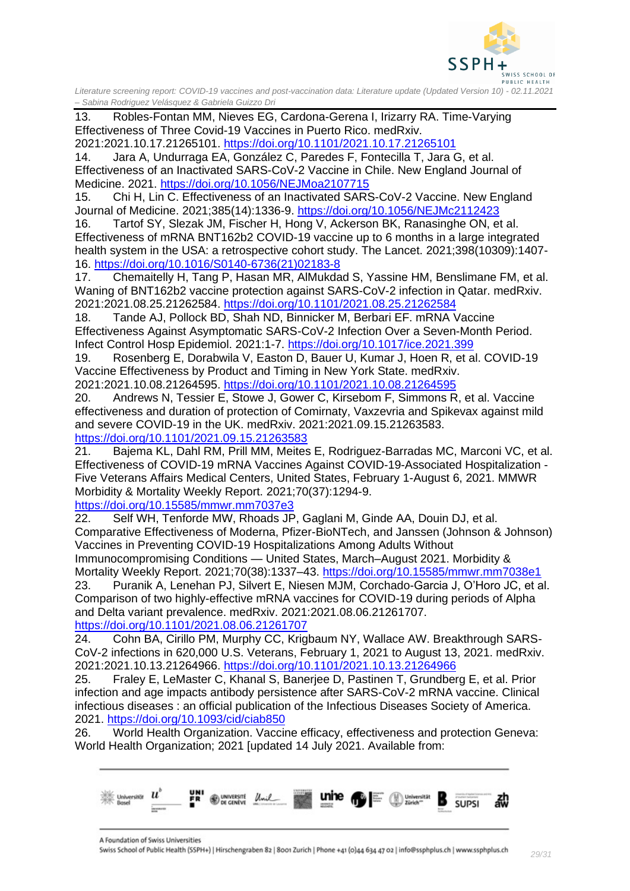

13. Robles-Fontan MM, Nieves EG, Cardona-Gerena I, Irizarry RA. Time-Varying Effectiveness of Three Covid-19 Vaccines in Puerto Rico. medRxiv.

2021:2021.10.17.21265101.<https://doi.org/10.1101/2021.10.17.21265101>

14. Jara A, Undurraga EA, González C, Paredes F, Fontecilla T, Jara G, et al. Effectiveness of an Inactivated SARS-CoV-2 Vaccine in Chile. New England Journal of Medicine. 2021.<https://doi.org/10.1056/NEJMoa2107715>

15. Chi H, Lin C. Effectiveness of an Inactivated SARS-CoV-2 Vaccine. New England Journal of Medicine. 2021;385(14):1336-9.<https://doi.org/10.1056/NEJMc2112423>

16. Tartof SY, Slezak JM, Fischer H, Hong V, Ackerson BK, Ranasinghe ON, et al. Effectiveness of mRNA BNT162b2 COVID-19 vaccine up to 6 months in a large integrated health system in the USA: a retrospective cohort study. The Lancet. 2021;398(10309):1407-16. [https://doi.org/10.1016/S0140-6736\(21\)02183-8](https://doi.org/10.1016/S0140-6736(21)02183-8)

17. Chemaitelly H, Tang P, Hasan MR, AlMukdad S, Yassine HM, Benslimane FM, et al. Waning of BNT162b2 vaccine protection against SARS-CoV-2 infection in Qatar. medRxiv. 2021:2021.08.25.21262584.<https://doi.org/10.1101/2021.08.25.21262584>

18. Tande AJ, Pollock BD, Shah ND, Binnicker M, Berbari EF. mRNA Vaccine Effectiveness Against Asymptomatic SARS-CoV-2 Infection Over a Seven-Month Period. Infect Control Hosp Epidemiol. 2021:1-7.<https://doi.org/10.1017/ice.2021.399>

19. Rosenberg E, Dorabwila V, Easton D, Bauer U, Kumar J, Hoen R, et al. COVID-19 Vaccine Effectiveness by Product and Timing in New York State. medRxiv.

2021:2021.10.08.21264595.<https://doi.org/10.1101/2021.10.08.21264595> 20. Andrews N, Tessier E, Stowe J, Gower C, Kirsebom F, Simmons R, et al. Vaccine

effectiveness and duration of protection of Comirnaty, Vaxzevria and Spikevax against mild and severe COVID-19 in the UK. medRxiv. 2021:2021.09.15.21263583. <https://doi.org/10.1101/2021.09.15.21263583>

21. Bajema KL, Dahl RM, Prill MM, Meites E, Rodriguez-Barradas MC, Marconi VC, et al. Effectiveness of COVID-19 mRNA Vaccines Against COVID-19-Associated Hospitalization - Five Veterans Affairs Medical Centers, United States, February 1-August 6, 2021. MMWR Morbidity & Mortality Weekly Report. 2021;70(37):1294-9.

<https://doi.org/10.15585/mmwr.mm7037e3>

22. Self WH, Tenforde MW, Rhoads JP, Gaglani M, Ginde AA, Douin DJ, et al. Comparative Effectiveness of Moderna, Pfizer-BioNTech, and Janssen (Johnson & Johnson) Vaccines in Preventing COVID-19 Hospitalizations Among Adults Without Immunocompromising Conditions — United States, March–August 2021. Morbidity & Mortality Weekly Report. 2021;70(38):1337–43.<https://doi.org/10.15585/mmwr.mm7038e1>

23. Puranik A, Lenehan PJ, Silvert E, Niesen MJM, Corchado-Garcia J, O'Horo JC, et al. Comparison of two highly-effective mRNA vaccines for COVID-19 during periods of Alpha and Delta variant prevalence. medRxiv. 2021:2021.08.06.21261707. <https://doi.org/10.1101/2021.08.06.21261707>

24. Cohn BA, Cirillo PM, Murphy CC, Krigbaum NY, Wallace AW. Breakthrough SARS-CoV-2 infections in 620,000 U.S. Veterans, February 1, 2021 to August 13, 2021. medRxiv. 2021:2021.10.13.21264966.<https://doi.org/10.1101/2021.10.13.21264966>

25. Fraley E, LeMaster C, Khanal S, Banerjee D, Pastinen T, Grundberg E, et al. Prior infection and age impacts antibody persistence after SARS-CoV-2 mRNA vaccine. Clinical infectious diseases : an official publication of the Infectious Diseases Society of America. 2021.<https://doi.org/10.1093/cid/ciab850>

26. World Health Organization. Vaccine efficacy, effectiveness and protection Geneva: World Health Organization; 2021 [updated 14 July 2021. Available from:



A Foundation of Swiss Universities Swiss School of Public Health (SSPH+) | Hirschengraben 82 | 8001 Zurich | Phone +41 (0)44 634 47 02 | info@ssphplus.ch | www.ssphplus.ch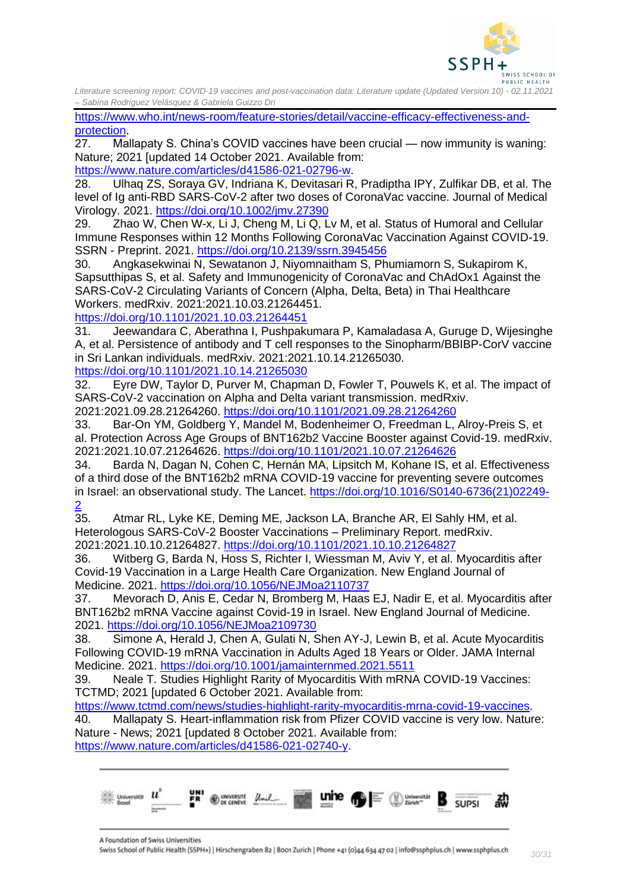

[https://www.who.int/news-room/feature-stories/detail/vaccine-efficacy-effectiveness-and](https://www.who.int/news-room/feature-stories/detail/vaccine-efficacy-effectiveness-and-protection)[protection.](https://www.who.int/news-room/feature-stories/detail/vaccine-efficacy-effectiveness-and-protection)

27. Mallapaty S. China's COVID vaccines have been crucial — now immunity is waning: Nature; 2021 [updated 14 October 2021. Available from: [https://www.nature.com/articles/d41586-021-02796-w.](https://www.nature.com/articles/d41586-021-02796-w)

28. Ulhaq ZS, Soraya GV, Indriana K, Devitasari R, Pradiptha IPY, Zulfikar DB, et al. The level of Ig anti-RBD SARS-CoV-2 after two doses of CoronaVac vaccine. Journal of Medical Virology. 2021.<https://doi.org/10.1002/jmv.27390>

29. Zhao W, Chen W-x, Li J, Cheng M, Li Q, Lv M, et al. Status of Humoral and Cellular Immune Responses within 12 Months Following CoronaVac Vaccination Against COVID-19. SSRN - Preprint. 2021.<https://doi.org/10.2139/ssrn.3945456>

30. Angkasekwinai N, Sewatanon J, Niyomnaitham S, Phumiamorn S, Sukapirom K, Sapsutthipas S, et al. Safety and Immunogenicity of CoronaVac and ChAdOx1 Against the SARS-CoV-2 Circulating Variants of Concern (Alpha, Delta, Beta) in Thai Healthcare Workers. medRxiv. 2021:2021.10.03.21264451.

<https://doi.org/10.1101/2021.10.03.21264451>

31. Jeewandara C, Aberathna I, Pushpakumara P, Kamaladasa A, Guruge D, Wijesinghe A, et al. Persistence of antibody and T cell responses to the Sinopharm/BBIBP-CorV vaccine in Sri Lankan individuals. medRxiv. 2021:2021.10.14.21265030.

<https://doi.org/10.1101/2021.10.14.21265030>

32. Eyre DW, Taylor D, Purver M, Chapman D, Fowler T, Pouwels K, et al. The impact of SARS-CoV-2 vaccination on Alpha and Delta variant transmission. medRxiv. 2021:2021.09.28.21264260.<https://doi.org/10.1101/2021.09.28.21264260>

33. Bar-On YM, Goldberg Y, Mandel M, Bodenheimer O, Freedman L, Alroy-Preis S, et al. Protection Across Age Groups of BNT162b2 Vaccine Booster against Covid-19. medRxiv. 2021:2021.10.07.21264626.<https://doi.org/10.1101/2021.10.07.21264626>

34. Barda N, Dagan N, Cohen C, Hernán MA, Lipsitch M, Kohane IS, et al. Effectiveness of a third dose of the BNT162b2 mRNA COVID-19 vaccine for preventing severe outcomes in Israel: an observational study. The Lancet. [https://doi.org/10.1016/S0140-6736\(21\)02249-](https://doi.org/10.1016/S0140-6736(21)02249-2)

 $\frac{2}{35}$  $\frac{2}{35}$  $\frac{2}{35}$ . 35. Atmar RL, Lyke KE, Deming ME, Jackson LA, Branche AR, El Sahly HM, et al. Heterologous SARS-CoV-2 Booster Vaccinations – Preliminary Report. medRxiv. 2021:2021.10.10.21264827.<https://doi.org/10.1101/2021.10.10.21264827>

36. Witberg G, Barda N, Hoss S, Richter I, Wiessman M, Aviv Y, et al. Myocarditis after Covid-19 Vaccination in a Large Health Care Organization. New England Journal of Medicine. 2021.<https://doi.org/10.1056/NEJMoa2110737>

37. Mevorach D, Anis E, Cedar N, Bromberg M, Haas EJ, Nadir E, et al. Myocarditis after BNT162b2 mRNA Vaccine against Covid-19 in Israel. New England Journal of Medicine. 2021.<https://doi.org/10.1056/NEJMoa2109730>

38. Simone A, Herald J, Chen A, Gulati N, Shen AY-J, Lewin B, et al. Acute Myocarditis Following COVID-19 mRNA Vaccination in Adults Aged 18 Years or Older. JAMA Internal Medicine. 2021.<https://doi.org/10.1001/jamainternmed.2021.5511>

39. Neale T. Studies Highlight Rarity of Myocarditis With mRNA COVID-19 Vaccines: TCTMD; 2021 [updated 6 October 2021. Available from:

[https://www.tctmd.com/news/studies-highlight-rarity-myocarditis-mrna-covid-19-vaccines.](https://www.tctmd.com/news/studies-highlight-rarity-myocarditis-mrna-covid-19-vaccines) 40. Mallapaty S. Heart-inflammation risk from Pfizer COVID vaccine is very low. Nature: Nature - News; 2021 [updated 8 October 2021. Available from: [https://www.nature.com/articles/d41586-021-02740-y.](https://www.nature.com/articles/d41586-021-02740-y)